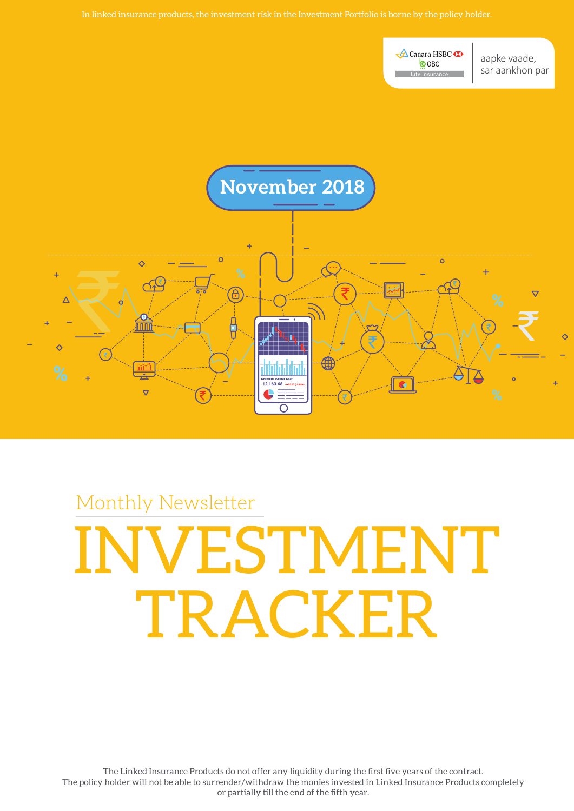

aapke vaade, sar aankhon par



# Monthly Newsletter VESTMENT TRACKER

The Linked Insurance Products do not offer any liquidity during the first five years of the contract. The policy holder will not be able to surrender/withdraw the monies invested in Linked Insurance Products completely or partially till the end of the fifth year.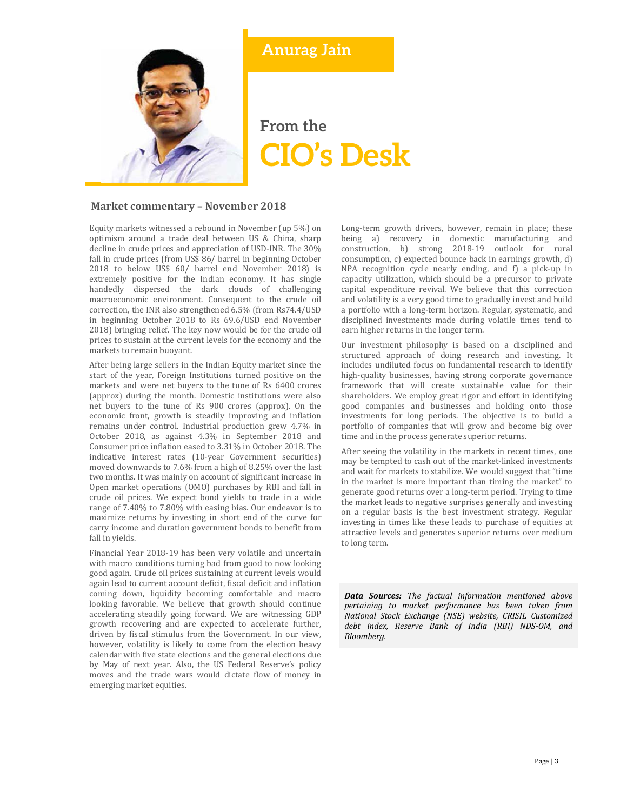

## **Anurag Jain**

## **From the CIO's Desk**

#### **Market commentary – November 2018**

Equity markets witnessed a rebound in November (up 5%) on optimism around a trade deal between US & China, sharp decline in crude prices and appreciation of USD‐INR. The 30% fall in crude prices (from US\$ 86/ barrel in beginning October 2018 to below US\$ 60/ barrel end November 2018) is extremely positive for the Indian economy. It has single handedly dispersed the dark clouds of challenging macroeconomic environment. Consequent to the crude oil correction, the INR also strengthened 6.5% (from Rs74.4/USD in beginning October 2018 to Rs 69.6/USD end November 2018) bringing relief. The key now would be for the crude oil prices to sustain at the current levels for the economy and the markets to remain buoyant.

After being large sellers in the Indian Equity market since the start of the year, Foreign Institutions turned positive on the markets and were net buyers to the tune of Rs 6400 crores (approx) during the month. Domestic institutions were also net buyers to the tune of Rs 900 crores (approx). On the economic front, growth is steadily improving and inflation remains under control. Industrial production grew 4.7% in October 2018, as against 4.3% in September 2018 and Consumer price inflation eased to 3.31% in October 2018. The indicative interest rates (10‐year Government securities) moved downwards to 7.6% from a high of 8.25% over the last two months. It was mainly on account of significant increase in Open market operations (OMO) purchases by RBI and fall in crude oil prices. We expect bond yields to trade in a wide range of 7.40% to 7.80% with easing bias. Our endeavor is to maximize returns by investing in short end of the curve for carry income and duration government bonds to benefit from fall in yields.

Financial Year 2018‐19 has been very volatile and uncertain with macro conditions turning bad from good to now looking good again. Crude oil prices sustaining at current levels would again lead to current account deficit, fiscal deficit and inflation coming down, liquidity becoming comfortable and macro looking favorable. We believe that growth should continue accelerating steadily going forward. We are witnessing GDP growth recovering and are expected to accelerate further, driven by fiscal stimulus from the Government. In our view, however, volatility is likely to come from the election heavy calendar with five state elections and the general elections due by May of next year. Also, the US Federal Reserve's policy moves and the trade wars would dictate flow of money in emerging market equities.

Long-term growth drivers, however, remain in place; these being a) recovery in domestic manufacturing and construction, b) strong 2018‐19 outlook for rural consumption, c) expected bounce back in earnings growth, d) NPA recognition cycle nearly ending, and f) a pick‐up in capacity utilization, which should be a precursor to private capital expenditure revival. We believe that this correction and volatility is a very good time to gradually invest and build a portfolio with a long‐term horizon. Regular, systematic, and disciplined investments made during volatile times tend to earn higher returns in the longer term.

Our investment philosophy is based on a disciplined and structured approach of doing research and investing. It includes undiluted focus on fundamental research to identify high-quality businesses, having strong corporate governance framework that will create sustainable value for their shareholders. We employ great rigor and effort in identifying good companies and businesses and holding onto those investments for long periods. The objective is to build a portfolio of companies that will grow and become big over time and in the process generate superior returns.

After seeing the volatility in the markets in recent times, one may be tempted to cash out of the market‐linked investments and wait for markets to stabilize. We would suggest that "time in the market is more important than timing the market" to generate good returns over a long‐term period. Trying to time the market leads to negative surprises generally and investing on a regular basis is the best investment strategy. Regular investing in times like these leads to purchase of equities at attractive levels and generates superior returns over medium to long term.

*Data Sources: The factual information mentioned above pertaining to market performance has been taken from National Stock Exchange (NSE) website, CRISIL Customized debt index, Reserve Bank of India (RBI) NDS‐OM, and Bloomberg.*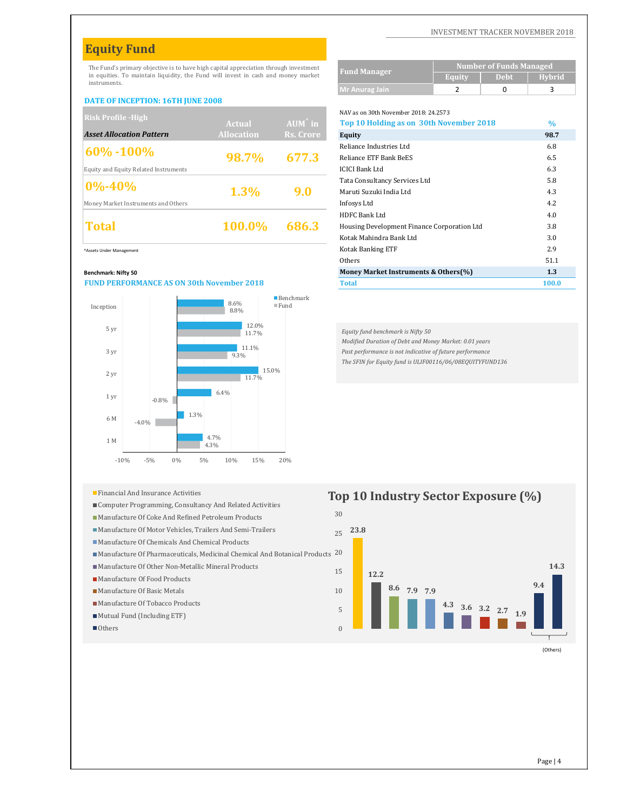## **Equity Fund**

The Fund's primary objective is to have high capital appreciation through investment in equities. To maintain liquidity, the Fund will invest in cash and money market instruments.

#### **DATE OF INCEPTION: 16TH JUNE 2008**

| <b>Risk Profile - High</b>            |                   |                   | NAV as on 30th November 2018: 24.2573       |               |
|---------------------------------------|-------------------|-------------------|---------------------------------------------|---------------|
|                                       | <b>Actual</b>     | $AUM^{\hat{}}$ in | Top 10 Holding as on 30th November 2018     | $\%$          |
| <b>Asset Allocation Pattern</b>       | <b>Allocation</b> | Rs. Crore         | Equity                                      | 98.7          |
| $\frac{160\% - 100\%}{100\%}$         |                   |                   | Reliance Industries Ltd                     | 6.8           |
|                                       | 98.7%             | 677.3             | Reliance ETF Bank BeES                      | 6.5           |
| Equity and Equity Related Instruments |                   |                   | <b>ICICI Bank Ltd</b>                       | 6.3           |
| $0\% - 40\%$                          |                   |                   | Tata Consultancy Services Ltd               | 5.8           |
|                                       | 1.3%              | 9.0               | Maruti Suzuki India Ltd                     | 4.3           |
| Money Market Instruments and Others   |                   |                   | Infosys Ltd                                 | 4.2           |
|                                       |                   |                   | HDFC Bank Ltd                               | 4.0           |
| Total                                 | <b>100.0%</b>     | 686.3             | Housing Development Finance Corporation Ltd | 3.8           |
|                                       |                   |                   |                                             | $\sim$ $\sim$ |

#### **Benchmark:** Nifty 50



- 
- Computer Programming, Consultancy And Related Activities
- Manufacture Of Coke And Refined Petroleum Products
- Manufacture Of Motor Vehicles, Trailers And Semi-Trailers
- Manufacture Of Chemicals And Chemical Products
- Manufacture Of Pharmaceuticals, Medicinal Chemical And Botanical Products  $20$
- Manufacture Of Other Non-Metallic Mineral Products
- Manufacture Of Food Products
- Manufacture Of Basic Metals
- Manufacture Of Tobacco Products
- Mutual Fund (Including ETF)
- Others

INVESTMENT TRACKER NOVEMBER 2018

| <b>Fund Manager</b> | <b>Number of Funds Managed</b> |             |               |  |  |  |
|---------------------|--------------------------------|-------------|---------------|--|--|--|
|                     | Equity                         | <b>Debt</b> | <b>Hybrid</b> |  |  |  |
| Mr Anurag Jain      |                                |             |               |  |  |  |

NAV as on 30th November 2018: 24.2573

| <b>KISK PTOHIC - FILQN</b>                       | Actual            | $AUM^{\hat{}}$ in | Top 10 Holding as on 30th November 2018     | $\frac{0}{0}$ |
|--------------------------------------------------|-------------------|-------------------|---------------------------------------------|---------------|
| <b>Asset Allocation Pattern</b>                  | <b>Allocation</b> | Rs. Crore         | <b>Equity</b>                               | 98.7          |
| 60% -100%                                        |                   |                   | Reliance Industries Ltd                     | 6.8           |
|                                                  | <b>98.7%</b>      | 677.3             | Reliance ETF Bank BeES                      | 6.5           |
| Equity and Equity Related Instruments            |                   |                   | <b>ICICI Bank Ltd</b>                       | 6.3           |
| $0\% - 40\%$                                     |                   |                   | Tata Consultancy Services Ltd               | 5.8           |
|                                                  | 1.3%              | 9.0               | Maruti Suzuki India Ltd                     | 4.3           |
| Money Market Instruments and Others              |                   |                   | Infosys Ltd                                 | 4.2           |
|                                                  |                   |                   | HDFC Bank Ltd                               | 4.0           |
| <b>Total</b>                                     | 100.0%            | 686.3             | Housing Development Finance Corporation Ltd | 3.8           |
|                                                  |                   |                   | Kotak Mahindra Bank Ltd                     | 3.0           |
| ^Assets Under Management                         |                   |                   | <b>Kotak Banking ETF</b>                    | 2.9           |
|                                                  |                   |                   | Others                                      | 51.1          |
| Benchmark: Nifty 50                              |                   |                   | Money Market Instruments & Others(%)        | 1.3           |
| <b>FUND PERFORMANCE AS ON 30th November 2018</b> |                   |                   | <b>Total</b>                                | 100.0         |

*Equity fund benchmark is Nifty 50*

*Modified Duration of Debt and Money Market: 0.01 years Past performance is not indicative of future performance*

*The SFIN for Equity fund is ULIF00116/06/08EQUITYFUND136*



(Others)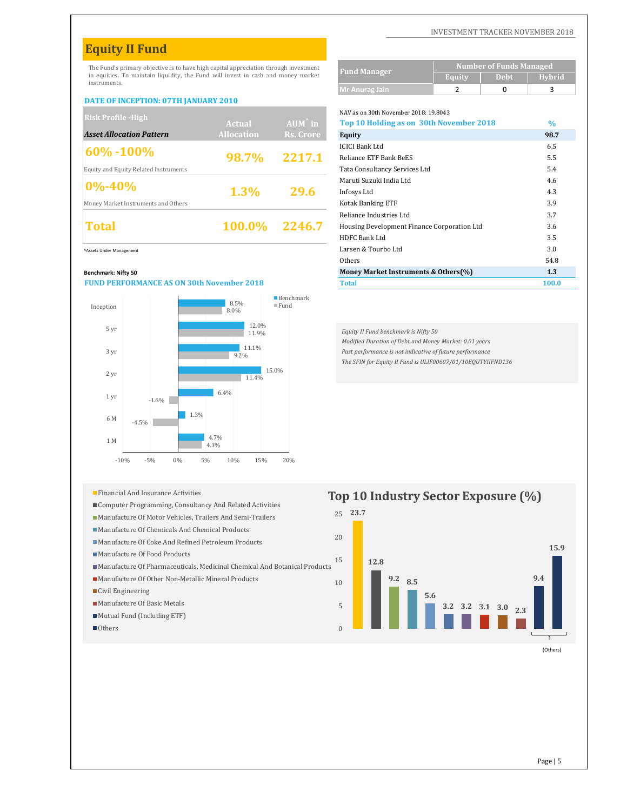## **Equity II Fund**

The Fund's primary objective is to have high capital appreciation through investment in equities. To maintain liquidity, the Fund will invest in cash and money market instruments.

#### **DATE OF INCEPTION: 07TH JANUARY 2010**

| <b>Risk Profile - High</b>            |                   |                   | NAV as on 30th November 2018: 19,8043       |               |
|---------------------------------------|-------------------|-------------------|---------------------------------------------|---------------|
|                                       | <b>Actual</b>     | $AUM^{\wedge}$ in | Top 10 Holding as on 30th November 2018     | $\frac{0}{0}$ |
| <b>Asset Allocation Pattern</b>       | <b>Allocation</b> | Rs. Crore         | Equity                                      | 98.7          |
| $ 60\% - 100\%$                       |                   |                   | <b>ICICI Bank Ltd</b>                       | 6.5           |
|                                       | <b>98.7%</b>      | 2217.1            | Reliance ETF Bank BeES                      | 5.5           |
| Equity and Equity Related Instruments |                   |                   | Tata Consultancy Services Ltd               | 5.4           |
| $ 0\% - 40\%$                         |                   |                   | Maruti Suzuki India Ltd                     | 4.6           |
|                                       | 1.3%              | 29.6              | Infosys Ltd                                 | 4.3           |
| Money Market Instruments and Others   |                   |                   | <b>Kotak Banking ETF</b>                    | 3.9           |
|                                       |                   |                   | Reliance Industries Ltd                     | 3.7           |
| Total                                 | 100.0% 2246.7     |                   | Housing Development Finance Corporation Ltd | 3.6           |
|                                       |                   |                   |                                             |               |

#### **Benchmark:** Nifty 50



- 
- Computer Programming, Consultancy And Related Activities
- Manufacture Of Motor Vehicles, Trailers And Semi-Trailers
- Manufacture Of Chemicals And Chemical Products
- Manufacture Of Coke And Refined Petroleum Products
- Manufacture Of Food Products
- Manufacture Of Pharmaceuticals, Medicinal Chemical And Botanical Products
- Manufacture Of Other Non-Metallic Mineral Products
- Civil Engineering
- Manufacture Of Basic Metals
- Mutual Fund (Including ETF)
- Others

INVESTMENT TRACKER NOVEMBER 2018

| <b>Fund Manager</b> | <b>Number of Funds Managed</b> |             |                |  |  |
|---------------------|--------------------------------|-------------|----------------|--|--|
|                     | Equity                         | <b>Debt</b> | <b>H</b> vbrid |  |  |
| Mr Anurag Jain      |                                |             |                |  |  |

NAV as on 30th November 2018: 19.8043

| <b>IMORT LOTEL THEM</b>                          | <b>Actual</b>     | AUM in    | Top 10 Holding as on 30th November 2018     | $\frac{0}{0}$ |
|--------------------------------------------------|-------------------|-----------|---------------------------------------------|---------------|
| <b>Asset Allocation Pattern</b>                  | <b>Allocation</b> | Rs. Crore | Equity                                      | 98.7          |
| 60% -100%                                        |                   |           | <b>ICICI Bank Ltd</b>                       | 6.5           |
|                                                  | 98.7%             | 2217.1    | Reliance ETF Bank BeES                      | 5.5           |
| Equity and Equity Related Instruments            |                   |           | Tata Consultancy Services Ltd               | 5.4           |
| $0\% - 40\%$                                     |                   |           | Maruti Suzuki India Ltd                     | 4.6           |
|                                                  | 1.3%              | 29.6      | Infosys Ltd                                 | 4.3           |
| Money Market Instruments and Others              |                   |           | <b>Kotak Banking ETF</b>                    | 3.9           |
|                                                  |                   |           | Reliance Industries Ltd                     | 3.7           |
| <b>Total</b>                                     | <b>100.0%</b>     | 2246.7    | Housing Development Finance Corporation Ltd | 3.6           |
|                                                  |                   |           | HDFC Bank Ltd                               | 3.5           |
| ^Assets Under Management                         |                   |           | Larsen & Tourbo Ltd                         | 3.0           |
|                                                  |                   |           | Others                                      | 54.8          |
| Benchmark: Nifty 50                              |                   |           | Money Market Instruments & Others(%)        | 1.3           |
| <b>FUND PERFORMANCE AS ON 30th November 2018</b> |                   |           | <b>Total</b>                                | 100.0         |

*Equity II Fund benchmark is Nifty 50*

*Modified Duration of Debt and Money Market: 0.01 years Past performance is not indicative of future performance The SFIN for Equity II Fund is ULIF00607/01/10EQUTYIIFND136*

## **Top 10 Industry Sector Exposure**  $(\%)$



(Others)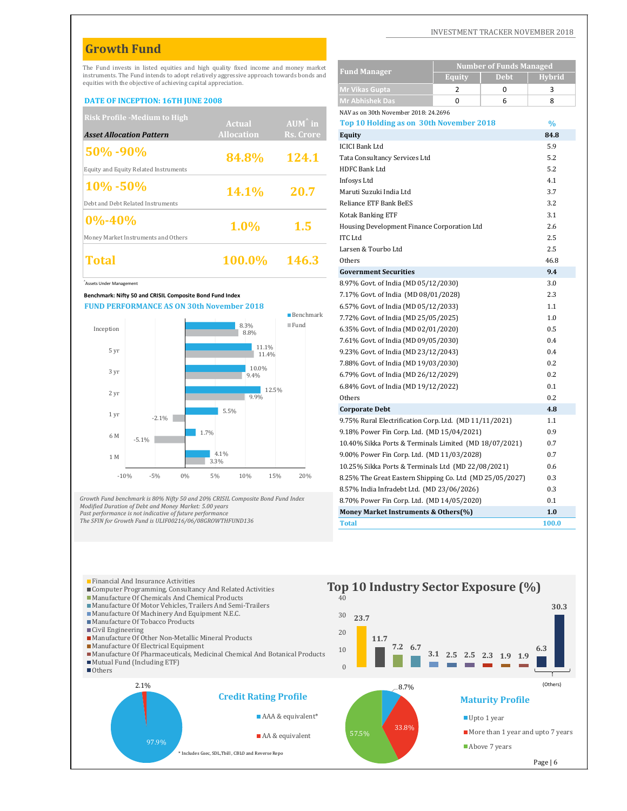### **Growth Fund**

#### **DATE OF INCEPTION: 16TH JUNE 2008**

| <b>Risk Profile -Medium to High</b>   |                   |                   | NAV as on 30th November 2018: 24.2696       |      |
|---------------------------------------|-------------------|-------------------|---------------------------------------------|------|
|                                       | <b>Actual</b>     | $AUM^{\wedge}$ in | Top 10 Holding as on 30th November 2018     | $\%$ |
| <b>Asset Allocation Pattern</b>       | <b>Allocation</b> | Rs. Crore         | Equity                                      | 84.8 |
|                                       |                   |                   | <b>ICICI Bank Ltd</b>                       | 5.9  |
| 50% -90%                              | 84.8%             | 124.1             | Tata Consultancy Services Ltd               | 5.2  |
| Equity and Equity Related Instruments |                   |                   | HDFC Bank Ltd                               | 5.2  |
|                                       |                   |                   | Infosys Ltd                                 | 4.1  |
| $10\% - 50\%$                         | <b>14.1%</b>      | 20.7              | Maruti Suzuki India Ltd                     | 3.7  |
| Debt and Debt Related Instruments     |                   |                   | Reliance ETF Bank BeES                      | 3.2  |
|                                       |                   |                   | <b>Kotak Banking ETF</b>                    | 3.1  |
| $ 0\% - 40\%$                         | $1.0\%$           | 1.5               | Housing Development Finance Corporation Ltd | 2.6  |
| Money Market Instruments and Others   |                   |                   | ITC Ltd                                     | 2.5  |
|                                       |                   |                   | Larsen & Tourbo Ltd                         | 2.5  |
| <b>Total</b>                          | 100.0%            | 146.3             | Others                                      | 46.8 |
|                                       |                   |                   |                                             |      |



| <u>ui owul fullu</u>    |                                                                                                                                         |    |              |                   |                                                                                                                                                                               |                                                        |                                                                |               |
|-------------------------|-----------------------------------------------------------------------------------------------------------------------------------------|----|--------------|-------------------|-------------------------------------------------------------------------------------------------------------------------------------------------------------------------------|--------------------------------------------------------|----------------------------------------------------------------|---------------|
|                         |                                                                                                                                         |    |              |                   | The Fund invests in listed equities and high quality fixed income and money market<br>instruments. The Fund intends to adopt relatively aggressive approach towards bonds and | <b>Fund Manager</b>                                    | <b>Number of Funds Managed</b><br><b>Equity</b><br><b>Debt</b> | <b>Hybrid</b> |
|                         | equities with the objective of achieving capital appreciation.                                                                          |    |              |                   |                                                                                                                                                                               | <b>Mr Vikas Gupta</b>                                  | $\overline{2}$<br>$\mathbf 0$                                  | 3             |
|                         | DATE OF INCEPTION: 16TH JUNE 2008                                                                                                       |    |              |                   |                                                                                                                                                                               | <b>Mr Abhishek Das</b>                                 | $\Omega$<br>6                                                  | 8             |
|                         |                                                                                                                                         |    |              |                   |                                                                                                                                                                               | NAV as on 30th November 2018: 24.2696                  |                                                                |               |
|                         | <b>Risk Profile - Medium to High</b>                                                                                                    |    |              | <b>Actual</b>     | $AUM^{\wedge}$ in                                                                                                                                                             | Top 10 Holding as on 30th November 2018                |                                                                | $\%$          |
|                         | <b>Asset Allocation Pattern</b>                                                                                                         |    |              | <b>Allocation</b> | Rs. Crore                                                                                                                                                                     | Equity                                                 |                                                                | 84.8          |
|                         |                                                                                                                                         |    |              |                   |                                                                                                                                                                               | <b>ICICI Bank Ltd</b>                                  |                                                                | 5.9           |
| 50%-90%                 |                                                                                                                                         |    |              | 84.8%             | 124.1                                                                                                                                                                         | Tata Consultancy Services Ltd                          |                                                                | 5.2           |
|                         | Equity and Equity Related Instruments                                                                                                   |    |              |                   |                                                                                                                                                                               | <b>HDFC Bank Ltd</b>                                   |                                                                | 5.2           |
|                         |                                                                                                                                         |    |              |                   |                                                                                                                                                                               | Infosys Ltd                                            |                                                                | 4.1           |
| $10\% - 50\%$           |                                                                                                                                         |    |              | 14.1%             | 20.7                                                                                                                                                                          | Maruti Suzuki India Ltd                                |                                                                | 3.7           |
|                         | Debt and Debt Related Instruments                                                                                                       |    |              |                   |                                                                                                                                                                               | <b>Reliance ETF Bank BeES</b>                          |                                                                | 3.2           |
|                         |                                                                                                                                         |    |              |                   |                                                                                                                                                                               | <b>Kotak Banking ETF</b>                               |                                                                | 3.1           |
| $0\% - 40\%$            |                                                                                                                                         |    |              | 1.0%              | 1.5                                                                                                                                                                           | Housing Development Finance Corporation Ltd            |                                                                | 2.6           |
|                         | Money Market Instruments and Others                                                                                                     |    |              |                   |                                                                                                                                                                               | <b>ITC</b> Ltd                                         |                                                                | 2.5           |
|                         |                                                                                                                                         |    |              |                   |                                                                                                                                                                               | Larsen & Tourbo Ltd                                    |                                                                | 2.5           |
| Total                   |                                                                                                                                         |    |              | 100.0%            | 146.3                                                                                                                                                                         | Others                                                 |                                                                | 46.8          |
|                         |                                                                                                                                         |    |              |                   |                                                                                                                                                                               | <b>Government Securities</b>                           |                                                                | 9.4           |
| Assets Under Management |                                                                                                                                         |    |              |                   |                                                                                                                                                                               | 8.97% Govt. of India (MD 05/12/2030)                   |                                                                | 3.0           |
|                         | Benchmark: Nifty 50 and CRISIL Composite Bond Fund Index                                                                                |    |              |                   |                                                                                                                                                                               | 7.17% Govt. of India (MD 08/01/2028)                   |                                                                | 2.3           |
|                         | <b>FUND PERFORMANCE AS ON 30th November 2018</b>                                                                                        |    |              |                   |                                                                                                                                                                               | 6.57% Govt. of India (MD 05/12/2033)                   |                                                                | 1.1           |
|                         |                                                                                                                                         |    |              |                   | $\blacksquare$ Benchmark                                                                                                                                                      | 7.72% Govt. of India (MD 25/05/2025)                   |                                                                | 1.0           |
| Inception               |                                                                                                                                         |    |              | 8.3%<br>8.8%      | $\blacksquare$ Fund                                                                                                                                                           | 6.35% Govt. of India (MD 02/01/2020)                   |                                                                | 0.5           |
|                         |                                                                                                                                         |    |              |                   |                                                                                                                                                                               | 7.61% Govt. of India (MD 09/05/2030)                   |                                                                | 0.4           |
| 5 yr                    |                                                                                                                                         |    |              | 11.1%<br>11.4%    |                                                                                                                                                                               | 9.23% Govt. of India (MD 23/12/2043)                   |                                                                | 0.4           |
|                         |                                                                                                                                         |    |              | 10.0%             |                                                                                                                                                                               | 7.88% Govt. of India (MD 19/03/2030)                   |                                                                | 0.2           |
| 3 yr                    |                                                                                                                                         |    |              | 9.4%              |                                                                                                                                                                               | 6.79% Govt. of India (MD 26/12/2029)                   |                                                                | 0.2           |
|                         |                                                                                                                                         |    |              |                   | 12.5%                                                                                                                                                                         | 6.84% Govt. of India (MD 19/12/2022)                   |                                                                | 0.1           |
| 2 yr                    |                                                                                                                                         |    |              | 9.9%              |                                                                                                                                                                               | Others                                                 |                                                                | 0.2           |
| 1 yr                    |                                                                                                                                         |    | 5.5%         |                   |                                                                                                                                                                               | <b>Corporate Debt</b>                                  |                                                                | 4.8           |
|                         | $-2.1\%$                                                                                                                                |    |              |                   |                                                                                                                                                                               | 9.75% Rural Electrification Corp. Ltd. (MD 11/11/2021) |                                                                | 1.1           |
| 6 M                     |                                                                                                                                         |    | 1.7%         |                   |                                                                                                                                                                               | 9.18% Power Fin Corp. Ltd. (MD 15/04/2021)             |                                                                | 0.9           |
|                         | $-5.1%$                                                                                                                                 |    |              |                   |                                                                                                                                                                               |                                                        | 10.40% Sikka Ports & Terminals Limited (MD 18/07/2021)         | 0.7           |
| 1 M                     |                                                                                                                                         |    | 4.1%<br>3.3% |                   |                                                                                                                                                                               | 9.00% Power Fin Corp. Ltd. (MD 11/03/2028)             |                                                                | 0.7           |
|                         |                                                                                                                                         |    |              |                   |                                                                                                                                                                               | 10.25% Sikka Ports & Terminals Ltd (MD 22/08/2021)     |                                                                | 0.6           |
| $-10%$                  | $-5%$                                                                                                                                   | 0% | 5%           | 10%               | 15%<br>20%                                                                                                                                                                    |                                                        | 8.25% The Great Eastern Shipping Co. Ltd (MD 25/05/2027)       | 0.3           |
|                         |                                                                                                                                         |    |              |                   |                                                                                                                                                                               | 8.57% India Infradebt Ltd. (MD 23/06/2026)             |                                                                | 0.3           |
|                         | rowth Fund benchmark is 80% Nifty 50 and 20% CRISIL Composite Bond Fund Index<br>lodified Duration of Debt and Money Market: 5.00 years |    |              |                   |                                                                                                                                                                               | 8.70% Power Fin Corp. Ltd. (MD 14/05/2020)             |                                                                | 0.1           |
|                         | ast performance is not indicative of future performance                                                                                 |    |              |                   |                                                                                                                                                                               | Money Market Instruments & Others(%)                   |                                                                | 1.0           |
|                         | he SFIN for Growth Fund is ULIF00216/06/08GROWTHFUND136                                                                                 |    |              |                   |                                                                                                                                                                               | <b>Total</b>                                           |                                                                | 100.0         |

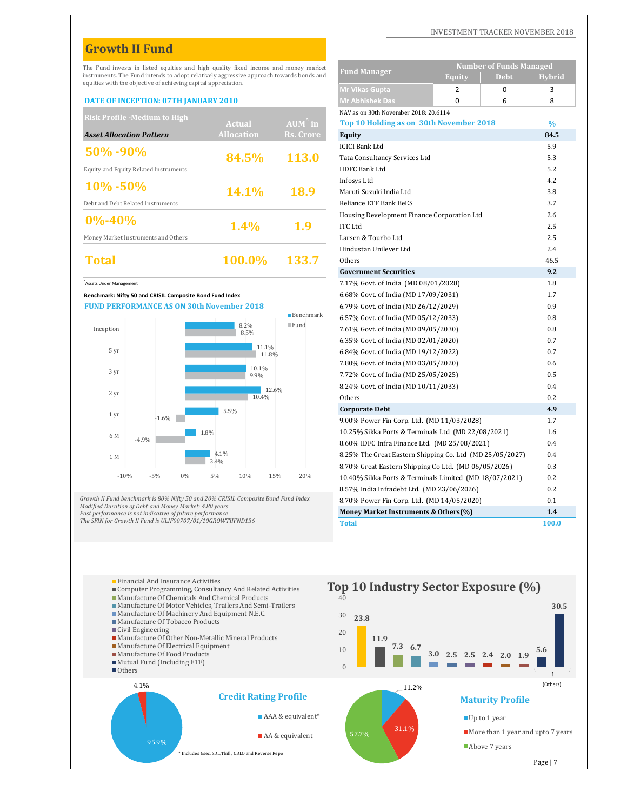## **Growth II Fund**

#### **DATE OF INCEPTION: 07TH JANUARY 2010**

| <b>Risk Profile -Medium to High</b>   |                   |                   | NAV as on 30th November 2018: 20.6114       |      |
|---------------------------------------|-------------------|-------------------|---------------------------------------------|------|
|                                       | <b>Actual</b>     | $AUM^{\wedge}$ in | Top 10 Holding as on 30th November 2018     | $\%$ |
| <b>Asset Allocation Pattern</b>       | <b>Allocation</b> | Rs. Crore         | Equity                                      | 84.5 |
|                                       |                   |                   | <b>ICICI Bank Ltd</b>                       | 5.9  |
| $150\%$ -90%                          | 84.5%             | <b>113.0</b>      | Tata Consultancy Services Ltd               | 5.3  |
| Equity and Equity Related Instruments |                   |                   | HDFC Bank Ltd                               | 5.2  |
| $10\% - 50\%$                         |                   |                   | Infosys Ltd                                 | 4.2  |
|                                       | <b>14.1%</b>      | 18.9              | Maruti Suzuki India Ltd                     | 3.8  |
| Debt and Debt Related Instruments     |                   |                   | Reliance ETF Bank BeES                      | 3.7  |
| $ 0\% - 40\% $                        |                   |                   | Housing Development Finance Corporation Ltd | 2.6  |
|                                       | 1.4%              | 1.9               | ITC Ltd                                     | 2.5  |
| Money Market Instruments and Others   |                   |                   | Larsen & Tourbo Ltd                         | 2.5  |
|                                       |                   |                   | Hindustan Unilever Ltd                      | 2.4  |
| Total                                 | 100.0%            | 133.7             | Others                                      | 46.5 |
|                                       |                   |                   |                                             |      |



|                         |                                                                                                                   | The Fund invests in listed equities and high quality fixed income and money market      |                          |                                                      | <b>Number of Funds Managed</b>                           |               |
|-------------------------|-------------------------------------------------------------------------------------------------------------------|-----------------------------------------------------------------------------------------|--------------------------|------------------------------------------------------|----------------------------------------------------------|---------------|
|                         |                                                                                                                   | instruments. The Fund intends to adopt relatively aggressive approach towards bonds and |                          | <b>Fund Manager</b>                                  | <b>Equity</b><br><b>Debt</b>                             | <b>Hybrid</b> |
|                         | equities with the objective of achieving capital appreciation.                                                    |                                                                                         |                          | <b>Mr Vikas Gupta</b>                                | $\mathbf 0$<br>2                                         | 3             |
|                         | <b>DATE OF INCEPTION: 07TH JANUARY 2010</b>                                                                       |                                                                                         |                          | <b>Mr Abhishek Das</b>                               | $\Omega$<br>6                                            | 8             |
|                         | <b>Risk Profile - Medium to High</b>                                                                              |                                                                                         |                          | NAV as on 30th November 2018: 20.6114                |                                                          |               |
|                         |                                                                                                                   | <b>Actual</b>                                                                           | $AUM^{\dagger}$ in       | Top 10 Holding as on 30th November 2018              |                                                          | $\%$          |
|                         | Asset Allocation Pattern                                                                                          | <b>Allocation</b>                                                                       | Rs. Crore                | Equity                                               |                                                          | 84.5          |
| 50% -90%                |                                                                                                                   |                                                                                         |                          | <b>ICICI Bank Ltd</b>                                |                                                          | 5.9           |
|                         |                                                                                                                   | 84.5%                                                                                   | 113.0                    | Tata Consultancy Services Ltd                        |                                                          | 5.3           |
|                         | Equity and Equity Related Instruments                                                                             |                                                                                         |                          | <b>HDFC Bank Ltd</b>                                 |                                                          | 5.2           |
| 10% -50%                |                                                                                                                   |                                                                                         |                          | Infosys Ltd                                          |                                                          | 4.2           |
|                         |                                                                                                                   | 14.1%                                                                                   | 18.9                     | Maruti Suzuki India Ltd                              |                                                          | 3.8           |
|                         | Debt and Debt Related Instruments                                                                                 |                                                                                         |                          | <b>Reliance ETF Bank BeES</b>                        |                                                          | 3.7           |
| $0\% - 40\%$            |                                                                                                                   |                                                                                         |                          | Housing Development Finance Corporation Ltd          |                                                          | 2.6           |
|                         |                                                                                                                   | 1.4%                                                                                    | 1.9                      | <b>ITC</b> Ltd                                       |                                                          | 2.5           |
|                         | Money Market Instruments and Others                                                                               |                                                                                         |                          | Larsen & Tourbo Ltd                                  |                                                          | 2.5           |
|                         |                                                                                                                   |                                                                                         |                          | Hindustan Unilever Ltd                               |                                                          | 2.4           |
| Total                   |                                                                                                                   | 100.0%                                                                                  | 133.7                    | Others                                               |                                                          | 46.5          |
|                         |                                                                                                                   |                                                                                         |                          | <b>Government Securities</b>                         |                                                          | 9.2           |
| Assets Under Management |                                                                                                                   |                                                                                         |                          | 7.17% Govt. of India (MD 08/01/2028)                 |                                                          | 1.8           |
|                         | Benchmark: Nifty 50 and CRISIL Composite Bond Fund Index                                                          |                                                                                         |                          | 6.68% Govt. of India (MD 17/09/2031)                 |                                                          | 1.7           |
|                         |                                                                                                                   | <b>FUND PERFORMANCE AS ON 30th November 2018</b>                                        |                          | 6.79% Govt. of India (MD 26/12/2029)                 |                                                          | 0.9           |
|                         |                                                                                                                   |                                                                                         | $\blacksquare$ Benchmark | 6.57% Govt. of India (MD 05/12/2033)                 |                                                          | 0.8           |
| Inception               |                                                                                                                   | 8.2%<br>8.5%                                                                            | $\blacksquare$ Fund      | 7.61% Govt. of India (MD 09/05/2030)                 |                                                          | 0.8           |
|                         |                                                                                                                   |                                                                                         |                          | 6.35% Govt. of India (MD 02/01/2020)                 |                                                          | 0.7           |
| 5 yr                    |                                                                                                                   | 11.1%<br>11.8%                                                                          |                          | 6.84% Govt. of India (MD 19/12/2022)                 |                                                          | 0.7           |
|                         |                                                                                                                   | 10.1%                                                                                   |                          | 7.80% Govt. of India (MD 03/05/2020)                 |                                                          | 0.6           |
| 3 yr                    |                                                                                                                   | 9.9%                                                                                    |                          | 7.72% Govt. of India (MD 25/05/2025)                 |                                                          | 0.5           |
|                         |                                                                                                                   | 12.6%                                                                                   |                          | 8.24% Govt. of India (MD 10/11/2033)                 |                                                          | 0.4           |
| 2 yr                    |                                                                                                                   | 10.4%                                                                                   |                          | Others                                               |                                                          | 0.2           |
|                         |                                                                                                                   | 5.5%                                                                                    |                          | <b>Corporate Debt</b>                                |                                                          | 4.9           |
| 1 yr                    | $-1.6\%$                                                                                                          |                                                                                         |                          | 9.00% Power Fin Corp. Ltd. (MD 11/03/2028)           |                                                          | 1.7           |
| 6 M                     |                                                                                                                   | 1.8%                                                                                    |                          | 10.25% Sikka Ports & Terminals Ltd (MD 22/08/2021)   |                                                          | 1.6           |
|                         | $-4.9%$                                                                                                           |                                                                                         |                          | 8.60% IDFC Infra Finance Ltd. (MD 25/08/2021)        |                                                          | 0.4           |
| 1 M                     |                                                                                                                   | 4.1%                                                                                    |                          |                                                      | 8.25% The Great Eastern Shipping Co. Ltd (MD 25/05/2027) | 0.4           |
|                         |                                                                                                                   | 3.4%                                                                                    |                          | 8.70% Great Eastern Shipping Co Ltd. (MD 06/05/2026) |                                                          | 0.3           |
| $-10%$                  | 0%<br>$-5%$                                                                                                       | 10%<br>5%<br>15%                                                                        | 20%                      |                                                      | 10.40% Sikka Ports & Terminals Limited (MD 18/07/2021)   | 0.2           |
|                         |                                                                                                                   |                                                                                         |                          | 8.57% India Infradebt Ltd. (MD 23/06/2026)           |                                                          | 0.2           |
|                         |                                                                                                                   | rowth II Fund benchmark is 80% Nifty 50 and 20% CRISIL Composite Bond Fund Index        |                          | 8.70% Power Fin Corp. Ltd. (MD 14/05/2020)           |                                                          | 0.1           |
|                         | lodified Duration of Debt and Money Market: 4.80 years<br>ast performance is not indicative of future performance |                                                                                         |                          | Money Market Instruments & Others(%)                 |                                                          | 1.4           |
|                         |                                                                                                                   | he SFIN for Growth II Fund is ULIF00707/01/10GROWTIIFND136                              |                          | <b>Total</b>                                         |                                                          | 100.0         |

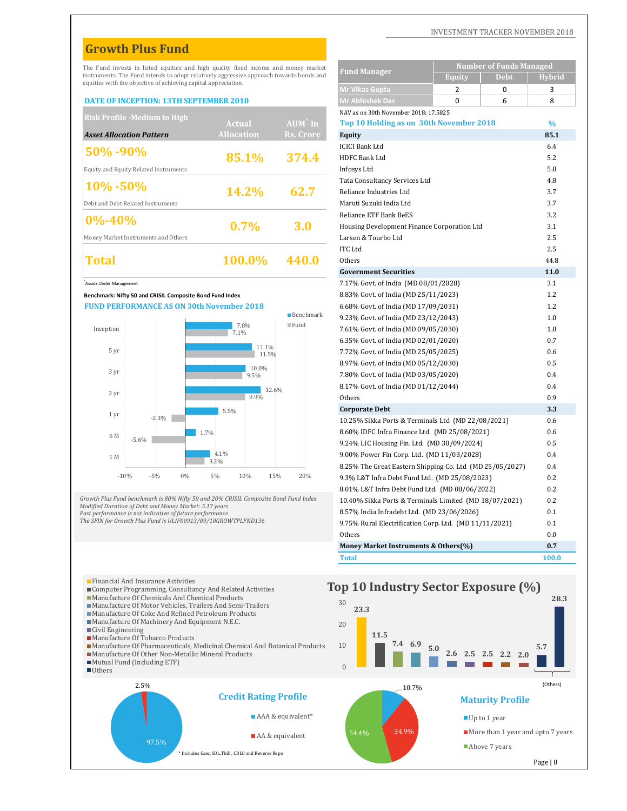## **Growth Plus Fund**

#### **DATE OF INCEPTION: 13TH SEPTEMBER 2010**

| <b>Risk Profile -Medium to High</b>   |                   |                   | NAV as on 30th November 2018: 17.5825       |               |
|---------------------------------------|-------------------|-------------------|---------------------------------------------|---------------|
|                                       | Actual            | $AUM^{\wedge}$ in | Top 10 Holding as on 30th November 2018     | $\frac{0}{0}$ |
| <b>Asset Allocation Pattern</b>       | <b>Allocation</b> | Rs. Crore         | Equity                                      | 85.1          |
| 50% -90%                              |                   |                   | <b>ICICI Bank Ltd</b>                       | 6.4           |
|                                       | 85.1%             | 374.4             | HDFC Bank Ltd                               | 5.2           |
| Equity and Equity Related Instruments |                   |                   | Infosys Ltd                                 | 5.0           |
| $10\% - 50\%$                         |                   |                   | Tata Consultancy Services Ltd               | 4.8           |
|                                       | <b>14.2%</b>      | 62.7              | Reliance Industries Ltd                     | 3.7           |
| Debt and Debt Related Instruments     |                   |                   | Maruti Suzuki India Ltd                     | 3.7           |
| $ 0\% - 40\% $                        |                   |                   | Reliance ETF Bank BeES                      | 3.2           |
|                                       | $0.7\%$           | <b>3.0</b>        | Housing Development Finance Corporation Ltd | 3.1           |
| Money Market Instruments and Others   |                   |                   | Larsen & Tourbo Ltd                         | 2.5           |
|                                       |                   |                   | <b>ITC</b> Ltd                              | 2.5           |
| <b>Total</b>                          | 100.0%            |                   | Others                                      | 44.8          |







|                                |                                                                                                                   | The Fund invests in listed equities and high quality fixed income and money market      |                          |                                                                      | <b>Number of Funds Managed</b>                           |              |
|--------------------------------|-------------------------------------------------------------------------------------------------------------------|-----------------------------------------------------------------------------------------|--------------------------|----------------------------------------------------------------------|----------------------------------------------------------|--------------|
|                                |                                                                                                                   | instruments. The Fund intends to adopt relatively aggressive approach towards bonds and |                          | <b>Fund Manager</b>                                                  | <b>Debt</b><br><b>Equity</b>                             | Hybrid       |
|                                | equities with the objective of achieving capital appreciation.                                                    |                                                                                         |                          | <b>Mr Vikas Gupta</b>                                                | $\overline{2}$<br>$\mathbf 0$                            | 3            |
|                                | <b>DATE OF INCEPTION: 13TH SEPTEMBER 2010</b>                                                                     |                                                                                         |                          | <b>Mr Abhishek Das</b>                                               | $\Omega$<br>6                                            | 8            |
|                                | <b>Risk Profile - Medium to High</b>                                                                              |                                                                                         |                          | NAV as on 30th November 2018: 17.5825                                |                                                          |              |
|                                |                                                                                                                   | <b>Actual</b>                                                                           | $AUM^{\hat{}}$ in        | Top 10 Holding as on 30th November 2018                              |                                                          | $\%$         |
|                                | <b>Asset Allocation Pattern</b>                                                                                   | <b>Allocation</b>                                                                       | Rs. Crore                | Equity                                                               |                                                          | 85.1         |
| 50% -90%                       |                                                                                                                   |                                                                                         |                          | <b>ICICI Bank Ltd</b>                                                |                                                          | 6.4          |
|                                |                                                                                                                   | 85.1%                                                                                   | 374.4                    | <b>HDFC Bank Ltd</b>                                                 |                                                          | 5.2          |
|                                | Equity and Equity Related Instruments                                                                             |                                                                                         |                          | Infosys Ltd                                                          |                                                          | 5.0          |
| 10%-50%                        |                                                                                                                   |                                                                                         |                          | Tata Consultancy Services Ltd                                        |                                                          | 4.8          |
|                                |                                                                                                                   | 14.2%                                                                                   | 62.7                     | Reliance Industries Ltd                                              |                                                          | 3.7          |
|                                | Debt and Debt Related Instruments                                                                                 |                                                                                         |                          | Maruti Suzuki India Ltd                                              |                                                          | 3.7          |
| $0\% - 40\%$                   |                                                                                                                   |                                                                                         |                          | Reliance ETF Bank BeES                                               |                                                          | 3.2          |
| 0.7%                           | 3.0                                                                                                               | Housing Development Finance Corporation Ltd                                             |                          | 3.1                                                                  |                                                          |              |
|                                | Money Market Instruments and Others                                                                               |                                                                                         |                          | Larsen & Tourbo Ltd<br><b>ITC</b> Ltd                                |                                                          | 2.5<br>2.5   |
|                                |                                                                                                                   |                                                                                         |                          | Others                                                               |                                                          |              |
| Total                          |                                                                                                                   | 100.0%                                                                                  | 440.0                    |                                                                      |                                                          | 44.8<br>11.0 |
| <b>Assets Under Management</b> |                                                                                                                   |                                                                                         |                          | <b>Government Securities</b><br>7.17% Govt. of India (MD 08/01/2028) |                                                          | 3.1          |
|                                | Benchmark: Nifty 50 and CRISIL Composite Bond Fund Index                                                          |                                                                                         |                          | 8.83% Govt. of India (MD 25/11/2023)                                 |                                                          | 1.2          |
|                                |                                                                                                                   | <b>FUND PERFORMANCE AS ON 30th November 2018</b>                                        |                          | 6.68% Govt. of India (MD 17/09/2031)                                 |                                                          | 1.2          |
|                                |                                                                                                                   |                                                                                         | $\blacksquare$ Benchmark | 9.23% Govt. of India (MD 23/12/2043)                                 |                                                          | 1.0          |
| Inception                      |                                                                                                                   | 7.8%                                                                                    | $\blacksquare$ Fund      | 7.61% Govt. of India (MD 09/05/2030)                                 |                                                          | 1.0          |
|                                |                                                                                                                   | 7.1%                                                                                    |                          | 6.35% Govt. of India (MD 02/01/2020)                                 |                                                          | 0.7          |
| 5 yr                           |                                                                                                                   | 11.1%                                                                                   |                          | 7.72% Govt. of India (MD 25/05/2025)                                 |                                                          | 0.6          |
|                                |                                                                                                                   | 11.5%                                                                                   |                          | 8.97% Govt. of India (MD 05/12/2030)                                 |                                                          | 0.5          |
| 3 yr                           |                                                                                                                   | 10.0%<br>9.5%                                                                           |                          | 7.80% Govt. of India (MD 03/05/2020)                                 |                                                          | 0.4          |
|                                |                                                                                                                   |                                                                                         |                          | 8.17% Govt. of India (MD 01/12/2044)                                 |                                                          | 0.4          |
| 2 yr                           |                                                                                                                   | 12.6%<br>9.9%                                                                           |                          | Others                                                               |                                                          | 0.9          |
|                                |                                                                                                                   | 5.5%                                                                                    |                          | <b>Corporate Debt</b>                                                |                                                          | 3.3          |
| 1 yr                           | $-2.3%$                                                                                                           |                                                                                         |                          | 10.25% Sikka Ports & Terminals Ltd (MD 22/08/2021)                   |                                                          | 0.6          |
| 6 M                            |                                                                                                                   | 1.7%                                                                                    |                          | 8.60% IDFC Infra Finance Ltd. (MD 25/08/2021)                        |                                                          | 0.6          |
|                                | $-5.6%$                                                                                                           |                                                                                         |                          | 9.24% LIC Housing Fin. Ltd. (MD 30/09/2024)                          |                                                          | 0.5          |
| 1 M                            |                                                                                                                   | 4.1%                                                                                    |                          | 9.00% Power Fin Corp. Ltd. (MD 11/03/2028)                           |                                                          | 0.4          |
|                                |                                                                                                                   | 3.2%                                                                                    |                          |                                                                      | 8.25% The Great Eastern Shipping Co. Ltd (MD 25/05/2027) | 0.4          |
| $-10%$                         | 0%<br>$-5%$                                                                                                       | 5%<br>10%<br>15%                                                                        | 20%                      | 9.3% L&T Infra Debt Fund Ltd. (MD 25/08/2023)                        |                                                          | 0.2          |
|                                |                                                                                                                   |                                                                                         |                          | 8.01% L&T Infra Debt Fund Ltd. (MD 08/06/2022)                       |                                                          | 0.2          |
|                                |                                                                                                                   | rowth Plus Fund benchmark is 80% Nifty 50 and 20% CRISIL Composite Bond Fund Index      |                          |                                                                      | 10.40% Sikka Ports & Terminals Limited (MD 18/07/2021)   | 0.2          |
|                                | lodified Duration of Debt and Money Market: 5.17 years<br>ast performance is not indicative of future performance |                                                                                         |                          | 8.57% India Infradebt Ltd. (MD 23/06/2026)                           |                                                          | 0.1          |
|                                |                                                                                                                   | he SFIN for Growth Plus Fund is ULIF00913/09/10GROWTPLFND136                            |                          |                                                                      | 9.75% Rural Electrification Corp. Ltd. (MD 11/11/2021)   | 0.1          |
|                                |                                                                                                                   |                                                                                         |                          | Others                                                               |                                                          | 0.0          |
|                                |                                                                                                                   |                                                                                         |                          | Money Market Instruments & Others(%)                                 |                                                          | 0.7          |
|                                |                                                                                                                   |                                                                                         |                          | <b>Total</b>                                                         |                                                          | 100.0        |

**28.3**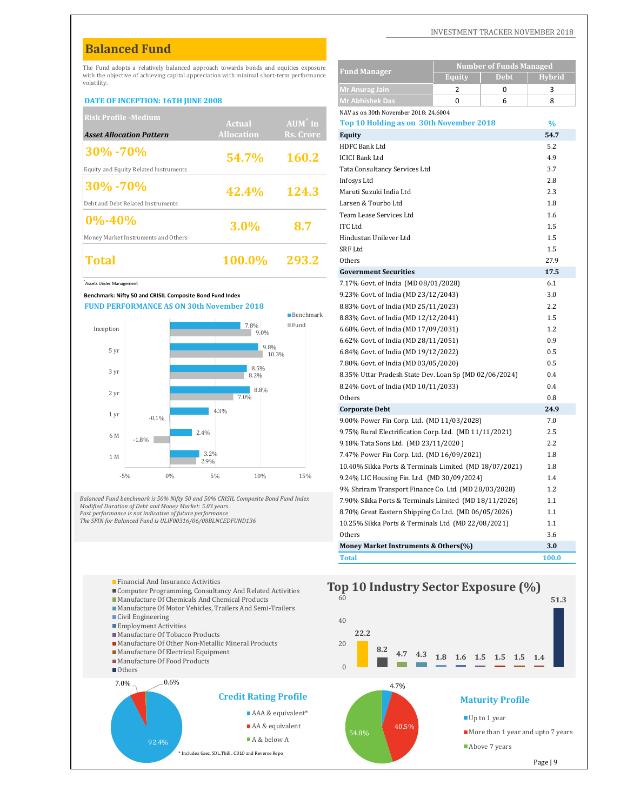## **Balanced Fund**

#### **DATE OF INCEPTION: 16TH JUNE 2008**

| <b>Risk Profile -Medium</b>           |                   |                   | NAV as on 30th November 2018: 24.6004   |               |
|---------------------------------------|-------------------|-------------------|-----------------------------------------|---------------|
|                                       | Actual            | $AUM^{\hat{}}$ in | Top 10 Holding as on 30th November 2018 | $\frac{0}{0}$ |
| <b>Asset Allocation Pattern</b>       | <b>Allocation</b> | Rs. Crore         | <b>Equity</b>                           | 54.7          |
|                                       |                   |                   | HDFC Bank Ltd                           | 5.2           |
| $ 30\% - 70\%$                        | <b>54.7%</b>      | <b>160.2</b>      | <b>ICICI Bank Ltd</b>                   | 4.9           |
| Equity and Equity Related Instruments |                   |                   | Tata Consultancy Services Ltd           | 3.7           |
| $ 30\% - 70\%$                        |                   |                   | Infosys Ltd                             | 2.8           |
|                                       | 42.4%             | <b>124.3</b>      | Maruti Suzuki India Ltd                 | 2.3           |
| Debt and Debt Related Instruments     |                   |                   | Larsen & Tourbo Ltd                     | 1.8           |
| $ 0\% - 40\% $                        |                   |                   | Team Lease Services Ltd                 | 1.6           |
|                                       | 3.0%              | 8.7               | ITC Ltd                                 | 1.5           |
| Money Market Instruments and Others   |                   |                   | Hindustan Unilever Ltd                  | 1.5           |
|                                       |                   |                   | SRF Ltd                                 | 1.5           |
| <b>Total</b>                          | 100.0%            | 293.2             | Others                                  | 27.9          |
|                                       |                   |                   |                                         |               |





|                                                                                 |                                           |              |                   | The Fund adopts a relatively balanced approach towards bonds and equities exposure       |                                                        |               | <b>Number of Funds Managed</b> |               |
|---------------------------------------------------------------------------------|-------------------------------------------|--------------|-------------------|------------------------------------------------------------------------------------------|--------------------------------------------------------|---------------|--------------------------------|---------------|
|                                                                                 |                                           |              |                   | with the objective of achieving capital appreciation with minimal short-term performance | <b>Fund Manager</b>                                    | <b>Equity</b> | <b>Debt</b>                    | <b>Hybrid</b> |
| volatility.                                                                     |                                           |              |                   |                                                                                          | Mr Anurag Jain                                         | 2             | 0                              | 3             |
| <b>DATE OF INCEPTION: 16TH JUNE 2008</b>                                        |                                           |              |                   |                                                                                          | <b>Mr Abhishek Das</b>                                 | $\Omega$      | 6                              | 8             |
| <b>Risk Profile - Medium</b>                                                    |                                           |              |                   |                                                                                          | NAV as on 30th November 2018: 24.6004                  |               |                                |               |
|                                                                                 |                                           |              | <b>Actual</b>     | $AUM^{\hat{}}$ in                                                                        | Top 10 Holding as on 30th November 2018                |               |                                | $\%$          |
| <b>Asset Allocation Pattern</b>                                                 |                                           |              | <b>Allocation</b> | <b>Rs. Crore</b>                                                                         | Equity                                                 |               |                                | 54.7          |
| 30%-70%                                                                         |                                           |              |                   |                                                                                          | <b>HDFC Bank Ltd</b>                                   |               |                                | 5.2           |
|                                                                                 |                                           |              | 54.7%             | 160.2                                                                                    | <b>ICICI Bank Ltd</b>                                  |               |                                | 4.9           |
| Equity and Equity Related Instruments                                           |                                           |              |                   |                                                                                          | Tata Consultancy Services Ltd                          |               |                                | 3.7           |
| 30%-70%                                                                         |                                           |              |                   |                                                                                          | Infosys Ltd                                            |               |                                | 2.8           |
|                                                                                 |                                           |              | 42.4%             | 124.3                                                                                    | Maruti Suzuki India Ltd                                |               |                                | 2.3           |
| Debt and Debt Related Instruments                                               |                                           |              |                   |                                                                                          | Larsen & Tourbo Ltd                                    |               |                                | 1.8           |
| $0\% - 40\%$                                                                    |                                           |              | 3.0%              | 8.7                                                                                      | Team Lease Services Ltd<br><b>ITC</b> Ltd              |               |                                | 1.6<br>1.5    |
| Money Market Instruments and Others                                             |                                           |              |                   |                                                                                          | Hindustan Unilever Ltd                                 |               |                                | 1.5           |
|                                                                                 |                                           |              |                   |                                                                                          | <b>SRF Ltd</b>                                         |               |                                | 1.5           |
| <b>Total</b>                                                                    |                                           |              | 100.0%            | 293.2                                                                                    | Others                                                 |               |                                | 27.9          |
|                                                                                 |                                           |              |                   |                                                                                          | <b>Government Securities</b>                           |               |                                | 17.5          |
| <b>Assets Under Management</b>                                                  |                                           |              |                   |                                                                                          | 7.17% Govt. of India (MD 08/01/2028)                   |               |                                | 6.1           |
| Benchmark: Nifty 50 and CRISIL Composite Bond Fund Index                        |                                           |              |                   |                                                                                          | 9.23% Govt. of India (MD 23/12/2043)                   |               |                                | 3.0           |
|                                                                                 | FUND PERFORMANCE AS ON 30th November 2018 |              |                   |                                                                                          | 8.83% Govt. of India (MD 25/11/2023)                   |               |                                | 2.2           |
|                                                                                 |                                           |              |                   | $\blacksquare$ Benchmark                                                                 | 8.83% Govt. of India (MD 12/12/2041)                   |               |                                | 1.5           |
| Inception                                                                       |                                           |              | 7.8%<br>9.0%      | $\blacksquare$ Fund                                                                      | 6.68% Govt. of India (MD 17/09/2031)                   |               |                                | 1.2           |
|                                                                                 |                                           |              |                   |                                                                                          | 6.62% Govt. of India (MD 28/11/2051)                   |               |                                | 0.9           |
| 5 yr                                                                            |                                           |              | 9.8%              | 10.3%                                                                                    | 6.84% Govt. of India (MD 19/12/2022)                   |               |                                | 0.5           |
|                                                                                 |                                           |              | 8.5%              |                                                                                          | 7.80% Govt. of India (MD 03/05/2020)                   |               |                                | 0.5           |
| 3 yr                                                                            |                                           |              | 8.2%              |                                                                                          | 8.35% Uttar Pradesh State Dev. Loan Sp (MD 02/06/2024) |               |                                | 0.4           |
|                                                                                 |                                           |              | 8.8%              |                                                                                          | 8.24% Govt. of India (MD 10/11/2033)                   |               |                                | 0.4           |
| 2 yr                                                                            |                                           |              | 7.0%              |                                                                                          | Others                                                 |               |                                | 0.8           |
| 1 yr                                                                            |                                           | 4.3%         |                   |                                                                                          | <b>Corporate Debt</b>                                  |               |                                | 24.9          |
|                                                                                 | $-0.1%$                                   |              |                   |                                                                                          | 9.00% Power Fin Corp. Ltd. (MD 11/03/2028)             |               |                                | 7.0           |
| 6 M                                                                             | $-1.8%$                                   | 2.4%         |                   |                                                                                          | 9.75% Rural Electrification Corp. Ltd. (MD 11/11/2021) |               |                                | 2.5           |
|                                                                                 |                                           |              |                   |                                                                                          | 9.18% Tata Sons Ltd. (MD 23/11/2020)                   |               |                                | 2.2           |
| 1 M                                                                             |                                           | 3.2%<br>2.9% |                   |                                                                                          | 7.47% Power Fin Corp. Ltd. (MD 16/09/2021)             |               |                                | 1.8           |
| $-5%$                                                                           | 0%                                        | 5%           | 10%               | 15%                                                                                      | 10.40% Sikka Ports & Terminals Limited (MD 18/07/2021) |               |                                | 1.8           |
|                                                                                 |                                           |              |                   |                                                                                          | 9.24% LIC Housing Fin. Ltd. (MD 30/09/2024)            |               |                                | 1.4           |
| alanced Fund benchmark is 50% Nifty 50 and 50% CRISIL Composite Bond Fund Index |                                           |              |                   |                                                                                          | 9% Shriram Transport Finance Co. Ltd. (MD 28/03/2028)  |               |                                | 1.2           |
| lodified Duration of Debt and Money Market: 5.03 years                          |                                           |              |                   |                                                                                          | 7.90% Sikka Ports & Terminals Limited (MD 18/11/2026)  |               |                                | 1.1           |
|                                                                                 |                                           |              |                   |                                                                                          | 8.70% Great Eastern Shipping Co Ltd. (MD 06/05/2026)   |               |                                | 1.1<br>1.1    |
| ast performance is not indicative of future performance                         |                                           |              |                   |                                                                                          | 10.25% Sikka Ports & Terminals Ltd (MD 22/08/2021)     |               |                                |               |
| he SFIN for Balanced Fund is ULIF00316/06/08BLNCEDFUND136                       |                                           |              |                   |                                                                                          |                                                        |               |                                |               |
|                                                                                 |                                           |              |                   |                                                                                          | Others<br>Money Market Instruments & Others(%)         |               |                                | 3.6<br>3.0    |

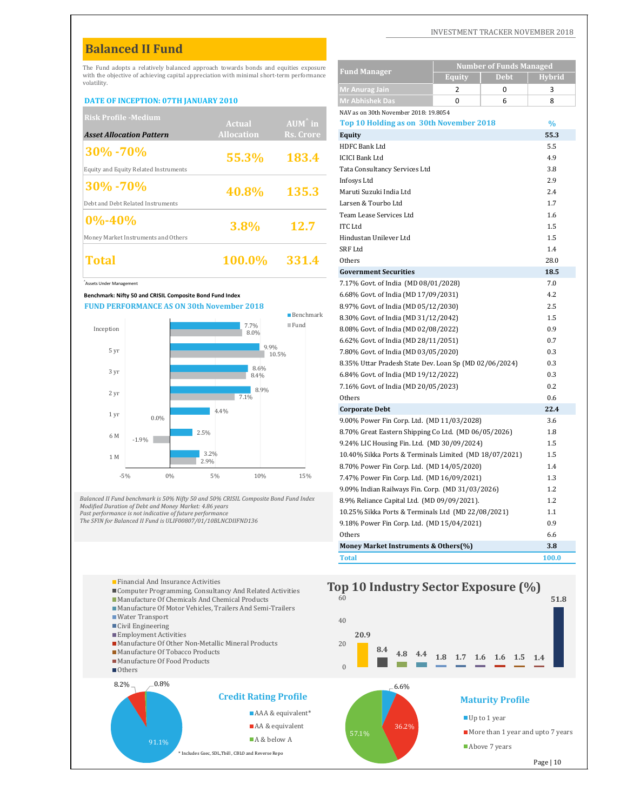## **Balanced II Fund**

#### **DATE OF INCEPTION: 07TH JANUARY 2010**

| <b>Risk Profile -Medium</b>           |                   |                   | NAV as on 30th November 2018: 19.8054   |               |
|---------------------------------------|-------------------|-------------------|-----------------------------------------|---------------|
|                                       | Actual            | $AUM^{\hat{}}$ in | Top 10 Holding as on 30th November 2018 | $\frac{0}{0}$ |
| <b>Asset Allocation Pattern</b>       | <b>Allocation</b> | Rs. Crore         | <b>Equity</b>                           | 55.3          |
|                                       |                   |                   | HDFC Bank Ltd                           | 5.5           |
| $ 30\% - 70\%$                        | 55.3%             | 183.4             | <b>ICICI Bank Ltd</b>                   | 4.9           |
| Equity and Equity Related Instruments |                   |                   | Tata Consultancy Services Ltd           | 3.8           |
| $ 30\% - 70\%$                        |                   |                   | Infosys Ltd                             | 2.9           |
|                                       | 40.8%             | 135.3             | Maruti Suzuki India Ltd                 | 2.4           |
| Debt and Debt Related Instruments     |                   |                   | Larsen & Tourbo Ltd                     | 1.7           |
|                                       |                   |                   | Team Lease Services Ltd                 | 1.6           |
| $ 0\% - 40\% $                        | 3.8%              | <b>12.7</b>       | <b>ITC</b> Ltd                          | 1.5           |
| Money Market Instruments and Others   |                   |                   | Hindustan Unilever Ltd                  | 1.5           |
|                                       |                   |                   | SRF Ltd                                 | 1.4           |
| <b>Total</b>                          | 100.0%            | 331.4             | Others                                  | 28.0          |
|                                       |                   |                   |                                         |               |





| <u>dialiteu II f</u>                                                                                                    |         |    |              |                                                                                    |                                                                                          |                                                        |               |                                |               |
|-------------------------------------------------------------------------------------------------------------------------|---------|----|--------------|------------------------------------------------------------------------------------|------------------------------------------------------------------------------------------|--------------------------------------------------------|---------------|--------------------------------|---------------|
|                                                                                                                         |         |    |              |                                                                                    | The Fund adopts a relatively balanced approach towards bonds and equities exposure       | <b>Fund Manager</b>                                    |               | <b>Number of Funds Managed</b> |               |
| volatility.                                                                                                             |         |    |              |                                                                                    | with the objective of achieving capital appreciation with minimal short-term performance |                                                        | <b>Equity</b> | <b>Debt</b>                    | <b>Hybrid</b> |
|                                                                                                                         |         |    |              |                                                                                    |                                                                                          | Mr Anurag Jain                                         | 2             | 0                              | 3             |
| <b>DATE OF INCEPTION: 07TH JANUARY 2010</b>                                                                             |         |    |              |                                                                                    |                                                                                          | <b>Mr Abhishek Das</b>                                 | $\Omega$      | 6                              | 8             |
| <b>Risk Profile -Medium</b>                                                                                             |         |    |              |                                                                                    |                                                                                          | NAV as on 30th November 2018: 19.8054                  |               |                                |               |
|                                                                                                                         |         |    |              | <b>Actual</b>                                                                      | $AUM^{\hat{}}$ in                                                                        | Top 10 Holding as on 30th November 2018                |               |                                | $\frac{0}{0}$ |
| Asset Allocation Pattern                                                                                                |         |    |              | <b>Allocation</b>                                                                  | Rs. Crore                                                                                | <b>Equity</b>                                          |               |                                | 55.3          |
| 30% - 70%                                                                                                               |         |    |              |                                                                                    |                                                                                          | HDFC Bank Ltd                                          |               |                                | 5.5           |
|                                                                                                                         |         |    |              | 55.3%                                                                              | 183.4                                                                                    | <b>ICICI Bank Ltd</b>                                  |               |                                | 4.9           |
| Equity and Equity Related Instruments                                                                                   |         |    |              |                                                                                    |                                                                                          | Tata Consultancy Services Ltd                          |               |                                | 3.8           |
| 30% -70%                                                                                                                |         |    |              |                                                                                    |                                                                                          | Infosys Ltd                                            |               |                                | 2.9           |
|                                                                                                                         |         |    |              | 40.8%                                                                              | 135.3                                                                                    | Maruti Suzuki India Ltd                                |               |                                | 2.4           |
| Debt and Debt Related Instruments                                                                                       |         |    |              |                                                                                    |                                                                                          | Larsen & Tourbo Ltd                                    |               |                                | 1.7           |
| $0\% - 40\%$                                                                                                            |         |    |              | 3.8%                                                                               | 12.7                                                                                     | Team Lease Services Ltd<br><b>ITC</b> Ltd              |               |                                | 1.6           |
|                                                                                                                         |         |    |              |                                                                                    |                                                                                          | Hindustan Unilever Ltd                                 |               |                                | 1.5<br>1.5    |
| Money Market Instruments and Others                                                                                     |         |    |              |                                                                                    |                                                                                          | <b>SRF Ltd</b>                                         |               |                                | 1.4           |
| Total                                                                                                                   |         |    |              | 100.0%                                                                             | 331.4                                                                                    | Others                                                 |               |                                | 28.0          |
|                                                                                                                         |         |    |              |                                                                                    |                                                                                          | <b>Government Securities</b>                           |               |                                | 18.5          |
| <b>Assets Under Management</b>                                                                                          |         |    |              |                                                                                    |                                                                                          | 7.17% Govt. of India (MD 08/01/2028)                   |               |                                | 7.0           |
| Benchmark: Nifty 50 and CRISIL Composite Bond Fund Index                                                                |         |    |              |                                                                                    |                                                                                          | 6.68% Govt. of India (MD 17/09/2031)                   |               |                                | 4.2           |
| <b>FUND PERFORMANCE AS ON 30th November 2018</b>                                                                        |         |    |              |                                                                                    |                                                                                          | 8.97% Govt. of India (MD 05/12/2030)                   |               |                                | 2.5           |
|                                                                                                                         |         |    |              |                                                                                    | $\blacksquare$ Benchmark                                                                 | 8.30% Govt. of India (MD 31/12/2042)                   |               |                                | 1.5           |
| Inception                                                                                                               |         |    |              | 7.7%                                                                               | $\blacksquare$ Fund                                                                      | 8.08% Govt. of India (MD 02/08/2022)                   |               |                                | 0.9           |
|                                                                                                                         |         |    |              | 8.0%                                                                               |                                                                                          | 6.62% Govt. of India (MD 28/11/2051)                   |               |                                | 0.7           |
| 5 yr                                                                                                                    |         |    |              | 9.9%                                                                               | 10.5%                                                                                    | 7.80% Govt. of India (MD 03/05/2020)                   |               |                                | 0.3           |
|                                                                                                                         |         |    |              | 8.6%                                                                               |                                                                                          | 8.35% Uttar Pradesh State Dev. Loan Sp (MD 02/06/2024) |               |                                | 0.3           |
| 3 yr                                                                                                                    |         |    |              | 8.4%                                                                               |                                                                                          | 6.84% Govt. of India (MD 19/12/2022)                   |               |                                | 0.3           |
|                                                                                                                         |         |    |              | 8.9%                                                                               |                                                                                          | 7.16% Govt. of India (MD 20/05/2023)                   |               |                                | 0.2           |
| 2 yr                                                                                                                    |         |    |              | 7.1%                                                                               |                                                                                          | Others                                                 |               |                                | 0.6           |
| 1 yr                                                                                                                    |         |    | 4.4%         |                                                                                    |                                                                                          | <b>Corporate Debt</b>                                  |               |                                | 22.4          |
|                                                                                                                         | 0.0%    |    |              |                                                                                    |                                                                                          | 9.00% Power Fin Corp. Ltd. (MD 11/03/2028)             |               |                                | 3.6           |
| 6 M                                                                                                                     |         |    | 2.5%         |                                                                                    |                                                                                          | 8.70% Great Eastern Shipping Co Ltd. (MD 06/05/2026)   |               |                                | 1.8           |
|                                                                                                                         | $-1.9%$ |    |              |                                                                                    |                                                                                          | 9.24% LIC Housing Fin. Ltd. (MD 30/09/2024)            |               |                                | 1.5           |
| 1 M                                                                                                                     |         |    | 3.2%<br>2.9% |                                                                                    |                                                                                          | 10.40% Sikka Ports & Terminals Limited (MD 18/07/2021) |               |                                | 1.5           |
|                                                                                                                         |         |    |              |                                                                                    |                                                                                          | 8.70% Power Fin Corp. Ltd. (MD 14/05/2020)             |               |                                | 1.4           |
|                                                                                                                         | $-5%$   | 0% | 5%           | 10%                                                                                | 15%                                                                                      | 7.47% Power Fin Corp. Ltd. (MD 16/09/2021)             |               |                                | 1.3           |
|                                                                                                                         |         |    |              |                                                                                    |                                                                                          | 9.09% Indian Railways Fin. Corp. (MD 31/03/2026)       |               |                                | 1.2           |
| lodified Duration of Debt and Money Market: 4.86 years                                                                  |         |    |              | alanced II Fund benchmark is 50% Nifty 50 and 50% CRISIL Composite Bond Fund Index |                                                                                          | 8.9% Reliance Capital Ltd. (MD 09/09/2021).            |               |                                | 1.2           |
| ast performance is not indicative of future performance<br>he SFIN for Balanced II Fund is ULIF00807/01/10BLNCDIIFND136 |         |    |              |                                                                                    |                                                                                          | 10.25% Sikka Ports & Terminals Ltd (MD 22/08/2021)     |               |                                | 1.1           |
|                                                                                                                         |         |    |              |                                                                                    |                                                                                          | 9.18% Power Fin Corp. Ltd. (MD 15/04/2021)             |               |                                | 0.9           |
|                                                                                                                         |         |    |              |                                                                                    |                                                                                          | Others                                                 |               |                                | 6.6           |
|                                                                                                                         |         |    |              |                                                                                    |                                                                                          | Money Market Instruments & Others(%)                   |               |                                | 3.8           |
|                                                                                                                         |         |    |              |                                                                                    |                                                                                          | <b>Total</b>                                           |               |                                | 100.0         |

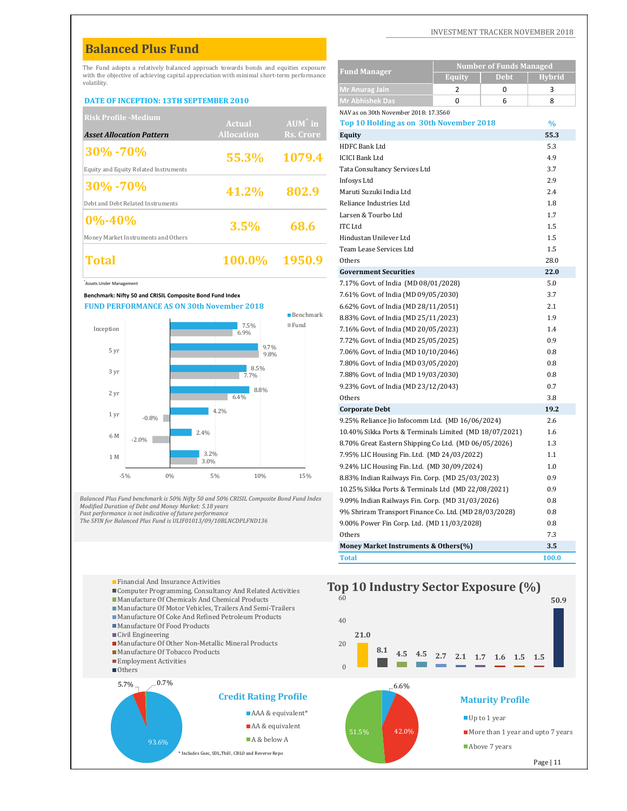## **Balanced Plus Fund**

#### **DATE OF INCEPTION: 13TH SEPTEMBER 2010**

| <b>Risk Profile - Medium</b>          |                   |                   | NAV as on 30th November 2018: 17.3560   |      |
|---------------------------------------|-------------------|-------------------|-----------------------------------------|------|
|                                       | Actual            | $AUM^{\wedge}$ in | Top 10 Holding as on 30th November 2018 | $\%$ |
| <b>Asset Allocation Pattern</b>       | <b>Allocation</b> | Rs. Crore         | Equity                                  | 55.3 |
| $ 30\% \cdot 70\%$                    |                   |                   | <b>HDFC Bank Ltd</b>                    | 5.3  |
|                                       | 55.3%             | 1079.4            | <b>ICICI Bank Ltd</b>                   | 4.9  |
| Equity and Equity Related Instruments |                   |                   | Tata Consultancy Services Ltd           | 3.7  |
|                                       |                   |                   | Infosys Ltd                             | 2.9  |
| $ 30\% - 70\%$                        | 41.2%             | 802.9             | Maruti Suzuki India Ltd                 | 2.4  |
| Debt and Debt Related Instruments     |                   |                   | Reliance Industries Ltd                 | 1.8  |
| $ 0\% - 40\% $                        |                   |                   | Larsen & Tourbo Ltd                     | 1.7  |
|                                       | 3.5%              | 68.6              | <b>ITC</b> Ltd                          | 1.5  |
| Money Market Instruments and Others   |                   |                   | Hindustan Unilever Ltd                  | 1.5  |
|                                       |                   |                   | Team Lease Services Ltd                 | 1.5  |
| <b>Total</b>                          | 100.0%            | 1950.9            | Others                                  | 28.0 |





| with the objective of achieving capital appreciation with minimal short-term performance                                                       | The Fund adopts a relatively balanced approach towards bonds and equities exposure |                          | <b>Number of Funds Managed</b><br><b>Fund Manager</b><br><b>Debt</b><br><b>Equity</b> | Hybrid        |
|------------------------------------------------------------------------------------------------------------------------------------------------|------------------------------------------------------------------------------------|--------------------------|---------------------------------------------------------------------------------------|---------------|
| volatility.                                                                                                                                    |                                                                                    |                          | Mr Anurag Jain<br>$\mathbf 0$<br>2                                                    | 3             |
| <b>DATE OF INCEPTION: 13TH SEPTEMBER 2010</b>                                                                                                  |                                                                                    |                          | Mr Abhishek Das<br>$\Omega$<br>6                                                      | 8             |
|                                                                                                                                                |                                                                                    |                          | NAV as on 30th November 2018: 17.3560                                                 |               |
| <b>Risk Profile - Medium</b>                                                                                                                   | <b>Actual</b>                                                                      | AUM in                   | Top 10 Holding as on 30th November 2018                                               | $\frac{0}{0}$ |
| <b>Asset Allocation Pattern</b>                                                                                                                | <b>Allocation</b>                                                                  | Rs. Crore                | <b>Equity</b>                                                                         | 55.3          |
| 30%-70%                                                                                                                                        |                                                                                    |                          | <b>HDFC Bank Ltd</b>                                                                  | 5.3           |
|                                                                                                                                                | 55.3%                                                                              | 1079.4                   | <b>ICICI Bank Ltd</b>                                                                 | 4.9           |
| Equity and Equity Related Instruments                                                                                                          |                                                                                    |                          | Tata Consultancy Services Ltd                                                         | 3.7           |
| 30%-70%                                                                                                                                        |                                                                                    |                          | Infosys Ltd                                                                           | 2.9           |
|                                                                                                                                                | 41.2%                                                                              | 802.9                    | Maruti Suzuki India Ltd                                                               | 2.4           |
| Debt and Debt Related Instruments                                                                                                              |                                                                                    |                          | Reliance Industries Ltd                                                               | 1.8           |
| $0\% - 40\%$                                                                                                                                   |                                                                                    |                          | Larsen & Tourbo Ltd                                                                   | 1.7           |
|                                                                                                                                                | 3.5%                                                                               | 68.6                     | <b>ITC</b> Ltd                                                                        | 1.5           |
| Money Market Instruments and Others                                                                                                            |                                                                                    |                          | Hindustan Unilever Ltd                                                                | 1.5           |
| Total                                                                                                                                          | 100.0%                                                                             | 1950.9                   | Team Lease Services Ltd<br>Others                                                     | 1.5<br>28.0   |
|                                                                                                                                                |                                                                                    |                          | <b>Government Securities</b>                                                          | 22.0          |
| <b>Assets Under Management</b>                                                                                                                 |                                                                                    |                          | 7.17% Govt. of India (MD 08/01/2028)                                                  | 5.0           |
| Benchmark: Nifty 50 and CRISIL Composite Bond Fund Index                                                                                       |                                                                                    |                          | 7.61% Govt. of India (MD 09/05/2030)                                                  | 3.7           |
| <b>FUND PERFORMANCE AS ON 30th November 2018</b>                                                                                               |                                                                                    |                          | 6.62% Govt. of India (MD 28/11/2051)                                                  | 2.1           |
|                                                                                                                                                |                                                                                    | $\blacksquare$ Benchmark | 8.83% Govt. of India (MD 25/11/2023)                                                  | 1.9           |
| Inception                                                                                                                                      | 7.5%                                                                               | $\blacksquare$ Fund      | 7.16% Govt. of India (MD 20/05/2023)                                                  | 1.4           |
|                                                                                                                                                | 6.9%                                                                               |                          | 7.72% Govt. of India (MD 25/05/2025)                                                  | 0.9           |
| 5 yr                                                                                                                                           | 9.7%<br>9.8%                                                                       |                          | 7.06% Govt. of India (MD 10/10/2046)                                                  | 0.8           |
|                                                                                                                                                | 8.5%                                                                               |                          | 7.80% Govt. of India (MD 03/05/2020)                                                  | 0.8           |
| 3 yr                                                                                                                                           | 7.7%                                                                               |                          | 7.88% Govt. of India (MD 19/03/2030)                                                  | 0.8           |
|                                                                                                                                                | 8.8%                                                                               |                          | 9.23% Govt. of India (MD 23/12/2043)                                                  | 0.7           |
| 2 yr                                                                                                                                           | 6.4%                                                                               |                          | Others                                                                                | 3.8           |
| 1 yr                                                                                                                                           | 4.2%                                                                               |                          | <b>Corporate Debt</b>                                                                 | 19.2          |
| $-0.8\%$                                                                                                                                       |                                                                                    |                          | 9.25% Reliance Jio Infocomm Ltd. (MD 16/06/2024)                                      | 2.6           |
| 6 M<br>$-2.0%$                                                                                                                                 | 2.4%                                                                               |                          | 10.40% Sikka Ports & Terminals Limited (MD 18/07/2021)                                | 1.6           |
|                                                                                                                                                |                                                                                    |                          | 8.70% Great Eastern Shipping Co Ltd. (MD 06/05/2026)                                  | 1.3           |
| 1 M                                                                                                                                            | 3.2%<br>3.0%                                                                       |                          | 7.95% LIC Housing Fin. Ltd. (MD 24/03/2022)                                           | 1.1           |
|                                                                                                                                                |                                                                                    | 15%                      | 9.24% LIC Housing Fin. Ltd. (MD 30/09/2024)                                           | 1.0           |
|                                                                                                                                                | 10%<br>5%                                                                          |                          | 8.83% Indian Railways Fin. Corp. (MD 25/03/2023)                                      | 0.9           |
| $-5%$<br>0%                                                                                                                                    |                                                                                    |                          |                                                                                       |               |
|                                                                                                                                                |                                                                                    |                          | 10.25% Sikka Ports & Terminals Ltd (MD 22/08/2021)                                    | 0.9           |
| alanced Plus Fund benchmark is 50% Nifty 50 and 50% CRISIL Composite Bond Fund Index<br>lodified Duration of Debt and Money Market: 5.18 years |                                                                                    |                          | 9.09% Indian Railways Fin. Corp. (MD 31/03/2026)                                      | 0.8           |
|                                                                                                                                                |                                                                                    |                          | 9% Shriram Transport Finance Co. Ltd. (MD 28/03/2028)                                 | 0.8           |
|                                                                                                                                                |                                                                                    |                          | 9.00% Power Fin Corp. Ltd. (MD 11/03/2028)                                            | 0.8           |
| ast performance is not indicative of future performance<br>he SFIN for Balanced Plus Fund is ULIF01013/09/10BLNCDPLFND136                      |                                                                                    |                          | Others<br>Money Market Instruments & Others(%)                                        | 7.3<br>3.5    |

**50.9**

Page | 11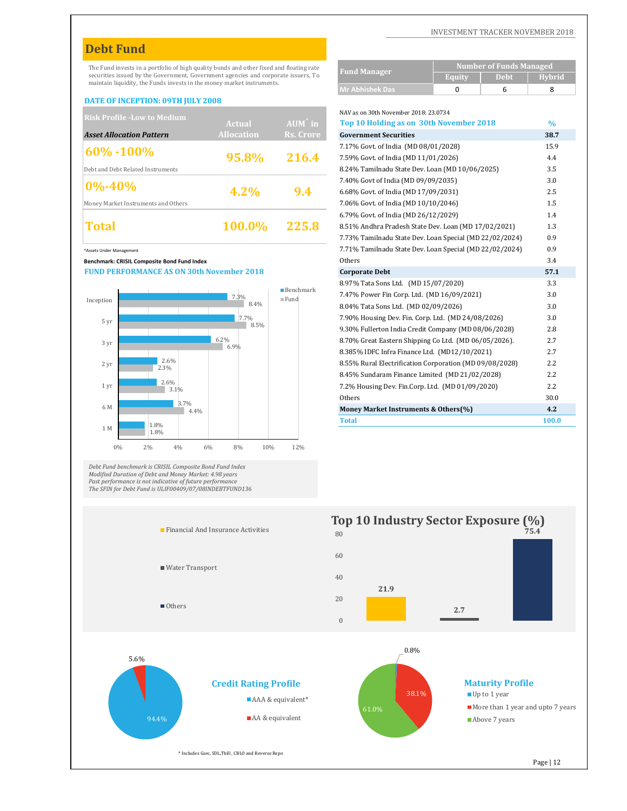## **Debt Fund**

#### **DATE OF INCEPTION: 09TH JULY 2008**

| <b>Risk Profile - Low to Medium</b> |                   |                   | NAV as on 30th November 2018: 23.0734                |               |
|-------------------------------------|-------------------|-------------------|------------------------------------------------------|---------------|
|                                     | Actual            | $AUM^{\hat{}}$ in | Top 10 Holding as on 30th November 2018              | $\frac{0}{0}$ |
| <b>Asset Allocation Pattern</b>     | <b>Allocation</b> | Rs. Crore         | <b>Government Securities</b>                         | 38.7          |
|                                     |                   |                   | 7.17% Govt. of India (MD 08/01/2028)                 | 15.9          |
| $\frac{160\% - 100\%}{100\%}$       | 95.8%             | 216.4             | 7.59% Govt. of India (MD 11/01/2026)                 | 4.4           |
| Debt and Debt Related Instruments   |                   |                   | 8.24% Tamilnadu State Dev. Loan (MD 10/06/2025)      | 3.5           |
| $0\% - 40\%$                        |                   |                   | 7.40% Govt of India (MD 09/09/2035)                  | 3.0           |
|                                     | $4.2\%$           | 9.4               | 6.68% Govt. of India (MD 17/09/2031)                 | 2.5           |
| Money Market Instruments and Others |                   |                   | 7.06% Govt. of India (MD 10/10/2046)                 | 1.5           |
|                                     |                   |                   | 6.79% Govt. of India (MD 26/12/2029)                 | 1.4           |
| <b>Total</b>                        | <b>100.0%</b>     | 225.8             | 8.51% Andhra Pradesh State Dev. Loan (MD 17/02/2021) | 1.3           |
|                                     |                   |                   |                                                      |               |

#### **Benchmark: CRISIL Composite Bond Fund Index**



Debt Fund benchmark is CRISIL Composite Bond Fund Index<br>Modified Duration of Debt and Money Market: 4.98 years<br>Past performance is not indicative of future performance<br>The SFIN for Debt Fund is ULIF00409/07/08INDEBTFUND136



INVESTMENT TRACKER NOVEMBER 2018

| The Fund invests in a portfolio of high quality bonds and other fixed and floating rate |                                                                                                                                                              |                   |                          | <b>Fund Manager</b>                                     | <b>Number of Funds Managed</b> |             |               |
|-----------------------------------------------------------------------------------------|--------------------------------------------------------------------------------------------------------------------------------------------------------------|-------------------|--------------------------|---------------------------------------------------------|--------------------------------|-------------|---------------|
|                                                                                         | securities issued by the Government, Government agencies and corporate issuers, To<br>maintain liquidity, the Funds invests in the money market instruments. |                   |                          |                                                         | <b>Equity</b>                  | <b>Debt</b> | <b>Hybrid</b> |
|                                                                                         |                                                                                                                                                              |                   |                          | <b>Mr Abhishek Das</b>                                  | 0                              | 6           | 8             |
|                                                                                         | DATE OF INCEPTION: 09TH JULY 2008                                                                                                                            |                   |                          |                                                         |                                |             |               |
|                                                                                         | <b>Risk Profile -Low to Medium</b>                                                                                                                           |                   |                          | NAV as on 30th November 2018: 23.0734                   |                                |             |               |
|                                                                                         |                                                                                                                                                              | <b>Actual</b>     | $AUM^{\hat{}}$ in        | Top 10 Holding as on 30th November 2018                 |                                |             | $\%$          |
| <b>Asset Allocation Pattern</b>                                                         |                                                                                                                                                              | <b>Allocation</b> | <b>Rs. Crore</b>         | <b>Government Securities</b>                            |                                |             | 38.7          |
| 60% -100%                                                                               |                                                                                                                                                              |                   |                          | 7.17% Govt. of India (MD 08/01/2028)                    |                                |             | 15.9          |
|                                                                                         |                                                                                                                                                              | 95.8%             | 216.4                    | 7.59% Govt. of India (MD 11/01/2026)                    |                                |             | 4.4           |
|                                                                                         | Debt and Debt Related Instruments                                                                                                                            |                   |                          | 8.24% Tamilnadu State Dev. Loan (MD 10/06/2025)         |                                |             | 3.5           |
| $0\% - 40\%$                                                                            |                                                                                                                                                              |                   |                          | 7.40% Govt of India (MD 09/09/2035)                     |                                |             | 3.0           |
|                                                                                         |                                                                                                                                                              | 4.2%              | 9.4                      | 6.68% Govt. of India (MD 17/09/2031)                    |                                |             | 2.5           |
|                                                                                         | Money Market Instruments and Others                                                                                                                          |                   |                          | 7.06% Govt. of India (MD 10/10/2046)                    |                                |             | 1.5           |
|                                                                                         |                                                                                                                                                              |                   |                          | 6.79% Govt. of India (MD 26/12/2029)                    |                                |             | 1.4           |
| Total                                                                                   |                                                                                                                                                              | 100.0%            | 225.8                    | 8.51% Andhra Pradesh State Dev. Loan (MD 17/02/2021)    |                                |             | 1.3           |
|                                                                                         |                                                                                                                                                              |                   |                          | 7.73% Tamilnadu State Dev. Loan Special (MD 22/02/2024) |                                |             | 0.9           |
| Assets Under Management                                                                 |                                                                                                                                                              |                   |                          | 7.71% Tamilnadu State Dev. Loan Special (MD 22/02/2024) |                                |             | 0.9           |
|                                                                                         | Benchmark: CRISIL Composite Bond Fund Index                                                                                                                  |                   |                          | Others                                                  |                                |             | 3.4           |
|                                                                                         | <b>FUND PERFORMANCE AS ON 30th November 2018</b>                                                                                                             |                   |                          | <b>Corporate Debt</b>                                   |                                |             | 57.1          |
|                                                                                         |                                                                                                                                                              |                   | $\blacksquare$ Benchmark | 8.97% Tata Sons Ltd. (MD 15/07/2020)                    |                                |             | 3.3           |
| Inception                                                                               |                                                                                                                                                              | 7.3%<br>8.4%      | $\blacksquare$ Fund      | 7.47% Power Fin Corp. Ltd. (MD 16/09/2021)              |                                |             | 3.0           |
|                                                                                         |                                                                                                                                                              |                   |                          | 8.04% Tata Sons Ltd. (MD 02/09/2026)                    |                                |             | 3.0           |
| 5 yr                                                                                    |                                                                                                                                                              | 7.7%<br>8.5%      |                          | 7.90% Housing Dev. Fin. Corp. Ltd. (MD 24/08/2026)      |                                |             | 3.0           |
|                                                                                         |                                                                                                                                                              |                   |                          | 9.30% Fullerton India Credit Company (MD 08/06/2028)    |                                |             | 2.8           |
| 3 yr                                                                                    |                                                                                                                                                              | 6.2%<br>6.9%      |                          | 8.70% Great Eastern Shipping Co Ltd. (MD 06/05/2026).   |                                |             | 2.7           |
|                                                                                         | 2.6%                                                                                                                                                         |                   |                          | 8.385% IDFC Infra Finance Ltd. (MD12/10/2021)           |                                |             | 2.7           |
| 2 yr                                                                                    | 2.3%                                                                                                                                                         |                   |                          | 8.55% Rural Electrification Corporation (MD 09/08/2028) |                                |             | 2.2           |
|                                                                                         | 2.6%                                                                                                                                                         |                   |                          | 8.45% Sundaram Finance Limited (MD 21/02/2028)          |                                |             | 2.2           |
| 1 yr                                                                                    | 3.1%                                                                                                                                                         |                   |                          | 7.2% Housing Dev. Fin.Corp. Ltd. (MD 01/09/2020)        |                                |             | 2.2           |
| 6 M                                                                                     | 3.7%                                                                                                                                                         |                   |                          | Others                                                  |                                |             | 30.0          |
|                                                                                         | 4.4%                                                                                                                                                         |                   |                          | Money Market Instruments & Others(%)                    |                                |             | 4.2           |
|                                                                                         | 1.80%                                                                                                                                                        |                   |                          | <b>Total</b>                                            |                                |             | 100.0         |



Page | 12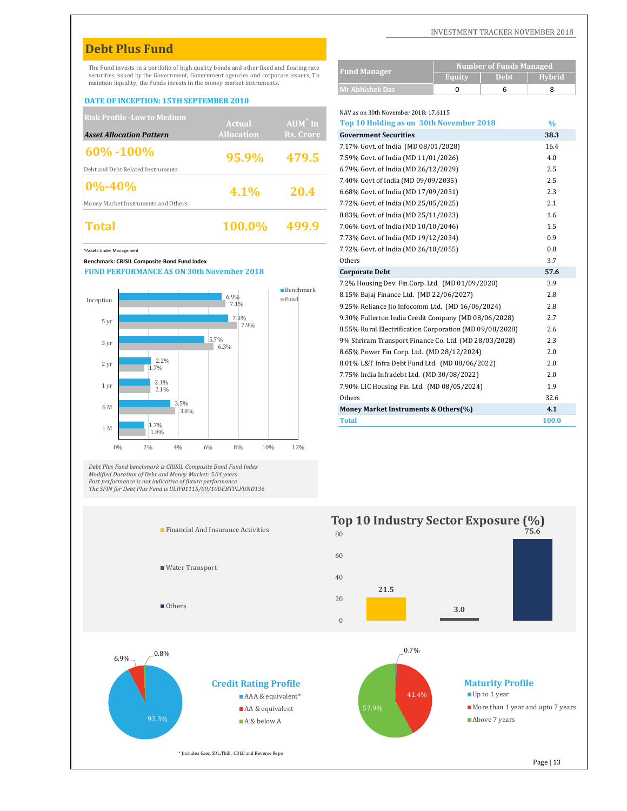## **Debt Plus Fund**

#### **DATE OF INCEPTION: 15TH SEPTEMBER 2010**

| <b>Risk Profile - Low to Medium</b> |                   |                   | NAV as on 30th November 2018: 17.6115   |               |
|-------------------------------------|-------------------|-------------------|-----------------------------------------|---------------|
|                                     | <b>Actual</b>     | $AUM^{\hat{}}$ in | Top 10 Holding as on 30th November 2018 | $\frac{0}{0}$ |
| <b>Asset Allocation Pattern</b>     | <b>Allocation</b> | Rs. Crore         | <b>Government Securities</b>            | 38.3          |
| $ 60\% - 100\% $                    |                   |                   | 7.17% Govt. of India (MD 08/01/2028)    | 16.4          |
|                                     | 95.9%             | 479.5             | 7.59% Govt. of India (MD 11/01/2026)    | 4.0           |
| Debt and Debt Related Instruments   |                   |                   | 6.79% Govt. of India (MD 26/12/2029)    | 2.5           |
| $ 0\% - 40\% $                      |                   | 20.4              | 7.40% Govt of India (MD 09/09/2035)     | 2.5           |
|                                     | $4.1\%$           |                   | 6.68% Govt. of India (MD 17/09/2031)    | 2.3           |
| Money Market Instruments and Others |                   |                   | 7.72% Govt. of India (MD 25/05/2025)    | 2.1           |
|                                     |                   |                   | 8.83% Govt. of India (MD 25/11/2023)    | 1.6           |
| Total                               | 100.0%            | 499.9             | 7.06% Govt. of India (MD 10/10/2046)    | 1.5           |
|                                     |                   |                   |                                         |               |

#### **Benchmark: CRISIL Composite Bond Fund Index**



Debt Plus Fund benchmark is CRISIL Composite Bond Fund Index<br>Modified Duration of Debt and Money Market: 5.04 years<br>Past performance is not indicative of future performance<br>The SFIN for Debt Plus Fund is ULIF01115/09/10DEB



INVESTMENT TRACKER NOVEMBER 2018

| The Fund invests in a portfolio of high quality bonds and other fixed and floating rate<br>securities issued by the Government, Government agencies and corporate issuers, To<br>maintain liquidity, the Funds invests in the money market instruments. | <b>Number of Funds Managed</b><br><b>Fund Manager</b><br><b>Debt</b><br>Equity                                                                    | Hybrid                                                                                                                                                                                                                                                                              |
|---------------------------------------------------------------------------------------------------------------------------------------------------------------------------------------------------------------------------------------------------------|---------------------------------------------------------------------------------------------------------------------------------------------------|-------------------------------------------------------------------------------------------------------------------------------------------------------------------------------------------------------------------------------------------------------------------------------------|
|                                                                                                                                                                                                                                                         |                                                                                                                                                   |                                                                                                                                                                                                                                                                                     |
|                                                                                                                                                                                                                                                         |                                                                                                                                                   |                                                                                                                                                                                                                                                                                     |
|                                                                                                                                                                                                                                                         |                                                                                                                                                   | 8                                                                                                                                                                                                                                                                                   |
|                                                                                                                                                                                                                                                         |                                                                                                                                                   |                                                                                                                                                                                                                                                                                     |
|                                                                                                                                                                                                                                                         |                                                                                                                                                   | $\frac{0}{0}$                                                                                                                                                                                                                                                                       |
|                                                                                                                                                                                                                                                         |                                                                                                                                                   | 38.3                                                                                                                                                                                                                                                                                |
|                                                                                                                                                                                                                                                         |                                                                                                                                                   | 16.4                                                                                                                                                                                                                                                                                |
|                                                                                                                                                                                                                                                         |                                                                                                                                                   | 4.0                                                                                                                                                                                                                                                                                 |
|                                                                                                                                                                                                                                                         |                                                                                                                                                   | 2.5                                                                                                                                                                                                                                                                                 |
|                                                                                                                                                                                                                                                         | 7.40% Govt of India (MD 09/09/2035)                                                                                                               | 2.5                                                                                                                                                                                                                                                                                 |
| 20.4                                                                                                                                                                                                                                                    | 6.68% Govt. of India (MD 17/09/2031)                                                                                                              | 2.3                                                                                                                                                                                                                                                                                 |
|                                                                                                                                                                                                                                                         | 7.72% Govt. of India (MD 25/05/2025)                                                                                                              | 2.1                                                                                                                                                                                                                                                                                 |
|                                                                                                                                                                                                                                                         | 8.83% Govt. of India (MD 25/11/2023)                                                                                                              | 1.6                                                                                                                                                                                                                                                                                 |
| 499.9                                                                                                                                                                                                                                                   | 7.06% Govt. of India (MD 10/10/2046)                                                                                                              | 1.5                                                                                                                                                                                                                                                                                 |
|                                                                                                                                                                                                                                                         | 7.73% Govt. of India (MD 19/12/2034)                                                                                                              | 0.9                                                                                                                                                                                                                                                                                 |
|                                                                                                                                                                                                                                                         | 7.72% Govt. of India (MD 26/10/2055)                                                                                                              | 0.8                                                                                                                                                                                                                                                                                 |
|                                                                                                                                                                                                                                                         | Others                                                                                                                                            | 3.7                                                                                                                                                                                                                                                                                 |
|                                                                                                                                                                                                                                                         | <b>Corporate Debt</b>                                                                                                                             | 57.6                                                                                                                                                                                                                                                                                |
|                                                                                                                                                                                                                                                         | 7.2% Housing Dev. Fin.Corp. Ltd. (MD 01/09/2020)                                                                                                  | 3.9                                                                                                                                                                                                                                                                                 |
| $\blacksquare$ Fund                                                                                                                                                                                                                                     | 8.15% Bajaj Finance Ltd. (MD 22/06/2027)                                                                                                          | 2.8                                                                                                                                                                                                                                                                                 |
|                                                                                                                                                                                                                                                         | 9.25% Reliance Jio Infocomm Ltd. (MD 16/06/2024)                                                                                                  | 2.8                                                                                                                                                                                                                                                                                 |
|                                                                                                                                                                                                                                                         | 9.30% Fullerton India Credit Company (MD 08/06/2028)                                                                                              | 2.7                                                                                                                                                                                                                                                                                 |
|                                                                                                                                                                                                                                                         | 8.55% Rural Electrification Corporation (MD 09/08/2028)                                                                                           | 2.6                                                                                                                                                                                                                                                                                 |
|                                                                                                                                                                                                                                                         | 9% Shriram Transport Finance Co. Ltd. (MD 28/03/2028)                                                                                             | 2.3                                                                                                                                                                                                                                                                                 |
|                                                                                                                                                                                                                                                         | 8.65% Power Fin Corp. Ltd. (MD 28/12/2024)                                                                                                        | 2.0                                                                                                                                                                                                                                                                                 |
|                                                                                                                                                                                                                                                         | 8.01% L&T Infra Debt Fund Ltd. (MD 08/06/2022)                                                                                                    | 2.0                                                                                                                                                                                                                                                                                 |
|                                                                                                                                                                                                                                                         | 7.75% India Infradebt Ltd. (MD 30/08/2022)                                                                                                        | 2.0                                                                                                                                                                                                                                                                                 |
|                                                                                                                                                                                                                                                         | 7.90% LIC Housing Fin. Ltd. (MD 08/05/2024)                                                                                                       | 1.9                                                                                                                                                                                                                                                                                 |
|                                                                                                                                                                                                                                                         | Others                                                                                                                                            | 32.6                                                                                                                                                                                                                                                                                |
|                                                                                                                                                                                                                                                         | Money Market Instruments & Others(%)                                                                                                              | 4.1                                                                                                                                                                                                                                                                                 |
|                                                                                                                                                                                                                                                         | <b>Total</b>                                                                                                                                      | 100.0                                                                                                                                                                                                                                                                               |
|                                                                                                                                                                                                                                                         | $AUM^{\hat{}}$ in<br><b>Rs. Crore</b><br>95.9%<br>479.5<br>100.0%<br><b>FUND PERFORMANCE AS ON 30th November 2018</b><br>$\blacksquare$ Benchmark | <b>Mr Abhishek Das</b><br>$\Omega$<br>6<br>NAV as on 30th November 2018: 17.6115<br>Top 10 Holding as on 30th November 2018<br><b>Government Securities</b><br>7.17% Govt. of India (MD 08/01/2028)<br>7.59% Govt. of India (MD 11/01/2026)<br>6.79% Govt. of India (MD 26/12/2029) |



Page | 13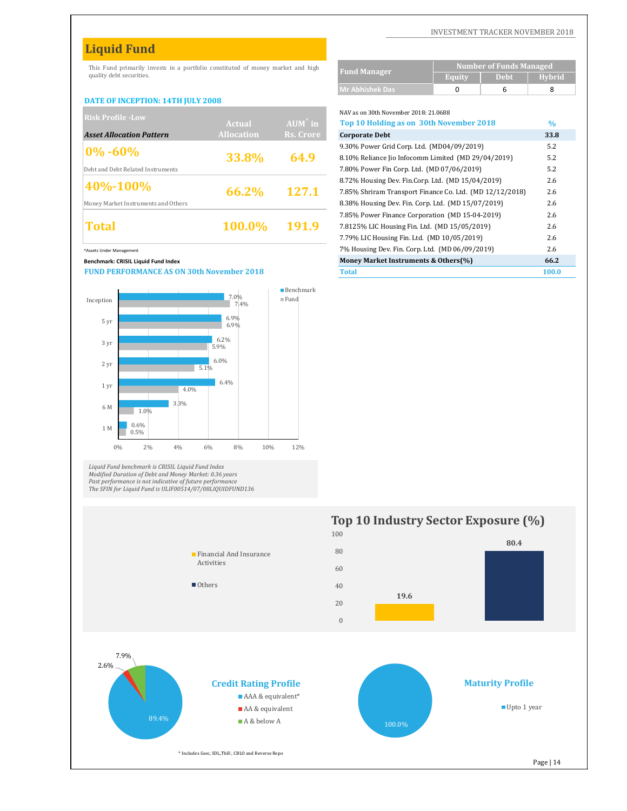## **Liquid Fund**

This Fund primarily invests in a portfolio constituted of money market and high quality debt securities.

#### **DATE OF INCEPTION: 14TH JULY 2008**

| <b>Risk Profile - Low</b>           |                   |                   | NAV as on 30th November 2018: 21.0688                    |               |
|-------------------------------------|-------------------|-------------------|----------------------------------------------------------|---------------|
|                                     | Actual            | $AUM^{\hat{}}$ in | Top 10 Holding as on 30th November 2018                  | $\frac{0}{0}$ |
| <b>Asset Allocation Pattern</b>     | <b>Allocation</b> | Rs. Crore         | <b>Corporate Debt</b>                                    | 33.8          |
|                                     |                   |                   | 9.30% Power Grid Corp. Ltd. (MD04/09/2019)               | 5.2           |
| $ 0\% - 60\% $                      | 33.8%             | 64.9              | 8.10% Reliance Jio Infocomm Limited (MD 29/04/2019)      | 5.2           |
| Debt and Debt Related Instruments   |                   |                   | 7.80% Power Fin Corp. Ltd. (MD 07/06/2019)               | 5.2           |
| $10\% - 100\%$                      |                   |                   | 8.72% Housing Dev. Fin.Corp. Ltd. (MD 15/04/2019)        | 2.6           |
|                                     | 66.2%             | 127.1             | 7.85% Shriram Transport Finance Co. Ltd. (MD 12/12/2018) | 2.6           |
| Money Market Instruments and Others |                   |                   | 8.38% Housing Dev. Fin. Corp. Ltd. (MD 15/07/2019)       | 2.6           |
|                                     |                   |                   | 7.85% Power Finance Corporation (MD 15-04-2019)          | 2.6           |
| <b>Total</b>                        | <b>100.0%</b>     | 191.9             | 7.8125% LIC Housing Fin. Ltd. (MD 15/05/2019)            | 2.6           |
|                                     |                   |                   |                                                          |               |

^Assets Under Management

#### **Benchmark: CRISIL Liquid Fund Index**

**FUND PERFORMANCE AS ON 30th November 2018**



Liquid Fund benchmark is CRISIL Liquid Fund Index<br>Modified Duration of Debt and Money Market: 0.36 years<br>Past performance is not indicative of future performance<br>The SFIN for Liquid Fund is ULIF00514/07/08LIQUIDFUND136



|                        | Number of Funds Managed |             |        |  |  |  |
|------------------------|-------------------------|-------------|--------|--|--|--|
| <b>Fund Manager</b>    | Equity                  | <b>Debt</b> | Hvbrid |  |  |  |
| <b>Mr Abhishek Das</b> |                         |             |        |  |  |  |

NAV as on 30th November 2018: 21.0688

| Top 10 Holding as on 30th November 2018                  | $\frac{0}{0}$ |
|----------------------------------------------------------|---------------|
| <b>Corporate Debt</b>                                    | 33.8          |
| 9.30% Power Grid Corp. Ltd. (MD04/09/2019)               | 5.2           |
| 8.10% Reliance Jio Infocomm Limited (MD 29/04/2019)      | 5.2           |
| 7.80% Power Fin Corp. Ltd. (MD 07/06/2019)               | 5.2           |
| 8.72% Housing Dev. Fin.Corp. Ltd. (MD 15/04/2019)        | 2.6           |
| 7.85% Shriram Transport Finance Co. Ltd. (MD 12/12/2018) | 2.6           |
| 8.38% Housing Dev. Fin. Corp. Ltd. (MD 15/07/2019)       | 2.6           |
| 7.85% Power Finance Corporation (MD 15-04-2019)          | 2.6           |
| 7.8125% LIC Housing Fin. Ltd. (MD 15/05/2019)            | 2.6           |
| 7.79% LIC Housing Fin. Ltd. (MD 10/05/2019)              | 2.6           |
| 7% Housing Dev. Fin. Corp. Ltd. (MD 06/09/2019)          | 2.6           |
| Money Market Instruments & Others(%)                     | 66.2          |
| <b>Total</b>                                             | 100.0         |

**Top 10 Industry Sector Exposure (%)**



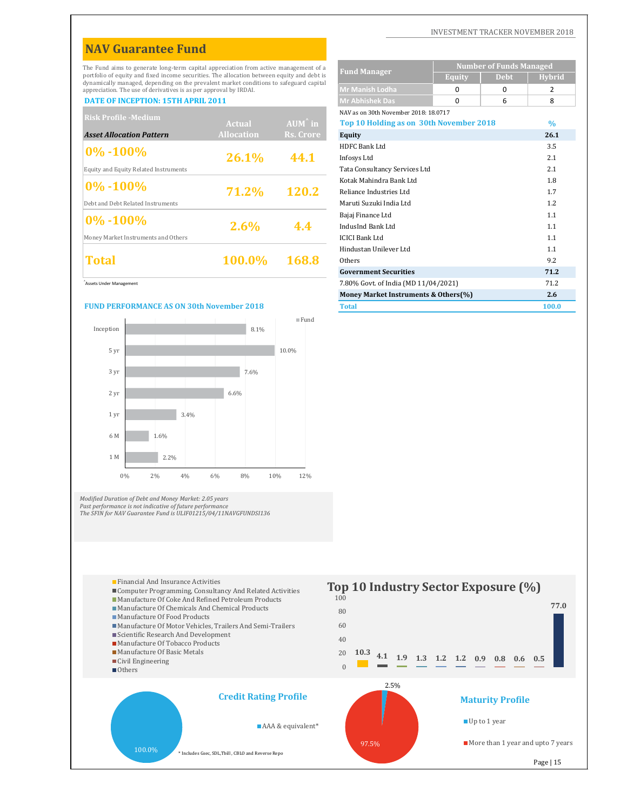## **NAV Guarantee Fund**

#### **DATE OF INCEPTION: 15TH APRIL 2011**

| <b>Risk Profile -Medium</b>           |                   |                   | NAV as on 30th November 2018: 18.0717   |               |
|---------------------------------------|-------------------|-------------------|-----------------------------------------|---------------|
|                                       | Actual            | $AUM^{\hat{}}$ in | Top 10 Holding as on 30th November 2018 | $\frac{0}{0}$ |
| <b>Asset Allocation Pattern</b>       | <b>Allocation</b> | Rs. Crore         | <b>Equity</b>                           | 26.1          |
| $ 0\% - 100\%$                        |                   |                   | HDFC Bank Ltd                           | 3.5           |
|                                       | 26.1%             | 44.1              | Infosys Ltd                             | 2.1           |
| Equity and Equity Related Instruments |                   |                   | Tata Consultancy Services Ltd           | 2.1           |
| $ 0\% - 100\%$                        |                   |                   | Kotak Mahindra Bank Ltd                 | 1.8           |
|                                       | 71.2%             | <b>120.2</b>      | Reliance Industries Ltd                 | 1.7           |
| Debt and Debt Related Instruments     |                   |                   | Maruti Suzuki India Ltd                 | 1.2           |
| $ 0\% - 100\%$                        |                   |                   | Bajaj Finance Ltd                       | 1.1           |
|                                       | $2.6\%$           | 4.4               | IndusInd Bank Ltd                       | 1.1           |
| Money Market Instruments and Others   |                   |                   | <b>ICICI Bank Ltd</b>                   | 1.1           |
|                                       |                   |                   | Hindustan Unilever Ltd                  | 1.1           |
| Total                                 | 100.0%            | 168.8             | Others                                  | 9.2           |
|                                       |                   |                   |                                         |               |

#### **FUND PERFORMANCE AS ON 30th November 2018**



Modified Duration of Debt and Money Market: 2.05 years<br>Past performance is not indicative of future performance<br>The SFIN for NAV Guarantee Fund is ULIF01215/04/11NAVGFUNDS1136



 $\blacksquare$  Scientific Research And Development

 $\blacksquare$  Computer Programming, Consultancy And Related Activities

- Manufacture Of Tobacco Products
- Manufacture Of Basic Metals

| <b>Number of Funds Managed</b> |  |
|--------------------------------|--|

INVESTMENT TRACKER NOVEMBER 2018

| The Fund aims to generate long-term capital appreciation from active management of a                                                                                                |                   |                   |                                         |          | <b>Number of Funds Managed</b> |                |
|-------------------------------------------------------------------------------------------------------------------------------------------------------------------------------------|-------------------|-------------------|-----------------------------------------|----------|--------------------------------|----------------|
| ortfolio of equity and fixed income securities. The allocation between equity and debt is<br>lynamically managed, depending on the prevalent market conditions to safeguard capital |                   |                   | <b>Fund Manager</b>                     | Equity   | <b>Debt</b>                    | <b>Hybrid</b>  |
| ppreciation. The use of derivatives is as per approval by IRDAI.                                                                                                                    |                   |                   | Mr Manish Lodha                         | 0        | 0                              | $\overline{2}$ |
| <b>DATE OF INCEPTION: 15TH APRIL 2011</b>                                                                                                                                           |                   |                   | <b>Mr Abhishek Das</b>                  | $\Omega$ | 6                              | 8              |
| <b>Risk Profile - Medium</b>                                                                                                                                                        |                   |                   | NAV as on 30th November 2018: 18.0717   |          |                                |                |
|                                                                                                                                                                                     | <b>Actual</b>     | $AUM^{\hat{}}$ in | Top 10 Holding as on 30th November 2018 |          |                                | $\frac{0}{0}$  |
| <b>Asset Allocation Pattern</b>                                                                                                                                                     | <b>Allocation</b> | Rs. Crore         | Equity                                  |          |                                | 26.1           |
| 0% -100%                                                                                                                                                                            |                   |                   | HDFC Bank Ltd                           |          |                                | 3.5            |
|                                                                                                                                                                                     | 26.1%             | 44.1              | Infosys Ltd                             |          |                                | 2.1            |
| <b>Equity and Equity Related Instruments</b>                                                                                                                                        |                   |                   | Tata Consultancy Services Ltd           |          |                                | 2.1            |
| 0% -100%                                                                                                                                                                            |                   |                   | Kotak Mahindra Bank Ltd                 |          |                                | 1.8            |
|                                                                                                                                                                                     | 71.2%             | 120.2             | Reliance Industries Ltd                 |          |                                | 1.7            |
| Debt and Debt Related Instruments                                                                                                                                                   |                   |                   | Maruti Suzuki India Ltd                 |          |                                | 1.2            |
| $0\% - 100\%$                                                                                                                                                                       |                   |                   | Bajaj Finance Ltd                       |          |                                | 1.1            |
|                                                                                                                                                                                     | $2.6\%$           | 4.4               | IndusInd Bank Ltd                       |          |                                | 1.1            |
| Money Market Instruments and Others                                                                                                                                                 |                   |                   | <b>ICICI Bank Ltd</b>                   |          |                                | 1.1            |
|                                                                                                                                                                                     |                   |                   | Hindustan Unilever Ltd                  |          |                                | 1.1            |
| Total                                                                                                                                                                               | 100.0%            | 168.8             | Others                                  |          |                                | 9.2            |
|                                                                                                                                                                                     |                   |                   | <b>Government Securities</b>            |          |                                | 71.2           |
| Assets Under Management                                                                                                                                                             |                   |                   | 7.80% Govt. of India (MD 11/04/2021)    |          |                                | 71.2           |
|                                                                                                                                                                                     |                   |                   | Money Market Instruments & Others(%)    |          |                                | 2.6            |
| <b>FUND PERFORMANCE AS ON 30th November 2018</b>                                                                                                                                    |                   |                   | <b>Total</b>                            |          |                                | 100.0          |

#### **77.0** 100 **The Industry Sector Exposure** (%)



40 60 80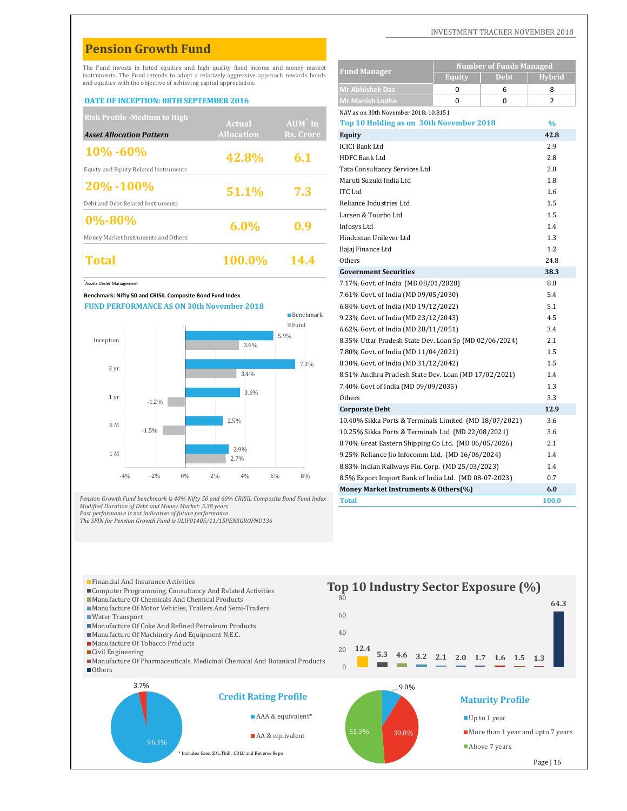## **Pension Growth Fund**

#### **DATE OF INCEPTION: 08TH SEPTEMBER 2016**

| <b>Risk Profile -Medium to High</b>   |                   |                   | NAV as on 30th November 2018: 10.8151          |            |
|---------------------------------------|-------------------|-------------------|------------------------------------------------|------------|
|                                       | Actual            | $AUM^{\hat{}}$ in | Top 10 Holding as on 30th November 2018        | $\%$       |
| <b>Asset Allocation Pattern</b>       | <b>Allocation</b> | Rs. Crore         | Equity                                         | 42.8       |
| $10\% - 60\%$                         |                   |                   | <b>ICICI Bank Ltd</b>                          | 2.9        |
| Equity and Equity Related Instruments | 42.8%             | 6.1               | HDFC Bank Ltd<br>Tata Consultancy Services Ltd | 2.8<br>2.0 |
| $ 20\% - 100\%$                       | 51.1%             | 7.3               | Maruti Suzuki India Ltd<br>ITC Ltd             | 1.8<br>1.6 |
| Debt and Debt Related Instruments     |                   |                   | Reliance Industries Ltd                        | 1.5        |
| $ 0\% - 80\% $                        |                   |                   | Larsen & Tourbo Ltd                            | 1.5        |
| Money Market Instruments and Others   | $6.0\%$           | 0.9               | Infosys Ltd<br>Hindustan Unilever Ltd          | 1.4<br>1.3 |
|                                       |                   |                   | Bajaj Finance Ltd                              | 1.2        |
| Total                                 | 100.0%            | 14.4              | Others                                         | 24.8       |
|                                       |                   |                   |                                                |            |

#### **Benchmark: Nifty 50 and CRISIL Composite Bond Fund Index**



*Pension Growth Fund benchmark is 40% Nifty 50 and 60% CRISIL Composite Bond Fund Index Modified Duration of Debt and Money Market: 5.38 years*

Past performance is not indicative of future performance<br>The SFIN for Pension Growth Fund is ULIF01405/11/15PENSGROFND136

|                          | The Fund invests in listed equities and high quality fixed income and money market                                                                          |                   |                          | <b>Fund Manager</b>                                    |          | <b>Number of Funds Managed</b> |                |
|--------------------------|-------------------------------------------------------------------------------------------------------------------------------------------------------------|-------------------|--------------------------|--------------------------------------------------------|----------|--------------------------------|----------------|
|                          | instruments. The Fund intends to adopt a relatively aggressive approach towards bonds<br>and equities with the objective of achieving capital appreciation. |                   |                          |                                                        | Equity   | <b>Debt</b>                    | Hybrid         |
|                          |                                                                                                                                                             |                   |                          | Mr Abhishek Das                                        | 0        | 6                              | 8              |
|                          | <b>DATE OF INCEPTION: 08TH SEPTEMBER 2016</b>                                                                                                               |                   |                          | Mr Manish Lodha                                        | $\Omega$ | $\Omega$                       | $\overline{2}$ |
|                          | <b>Risk Profile - Medium to High</b>                                                                                                                        |                   |                          | NAV as on 30th November 2018: 10.8151                  |          |                                |                |
|                          |                                                                                                                                                             | <b>Actual</b>     | $AUM^{\wedge}$ in        | Top 10 Holding as on 30th November 2018                |          |                                | $\%$           |
| Asset Allocation Pattern |                                                                                                                                                             | <b>Allocation</b> | <b>Rs. Crore</b>         | Equity                                                 |          |                                | 42.8           |
| $10\% - 60\%$            |                                                                                                                                                             |                   |                          | <b>ICICI Bank Ltd</b>                                  |          |                                | 2.9            |
|                          |                                                                                                                                                             | 42.8%             | 6.1                      | <b>HDFC Bank Ltd</b>                                   |          |                                | 2.8            |
|                          | Equity and Equity Related Instruments                                                                                                                       |                   |                          | Tata Consultancy Services Ltd                          |          |                                | 2.0            |
| $20\% - 100\%$           |                                                                                                                                                             |                   |                          | Maruti Suzuki India Ltd                                |          |                                | 1.8            |
|                          |                                                                                                                                                             | 51.1%             | 7.3                      | <b>ITC</b> Ltd                                         |          |                                | 1.6            |
|                          | Debt and Debt Related Instruments                                                                                                                           |                   |                          | Reliance Industries Ltd                                |          |                                | 1.5            |
| $0\% - 80\%$             |                                                                                                                                                             |                   |                          | Larsen & Tourbo Ltd                                    |          |                                | 1.5            |
|                          |                                                                                                                                                             | 6.0%              | 0.9                      | Infosys Ltd                                            |          |                                | 1.4            |
|                          | Money Market Instruments and Others                                                                                                                         |                   |                          | Hindustan Unilever Ltd                                 |          |                                | 1.3            |
|                          |                                                                                                                                                             |                   |                          | Bajaj Finance Ltd                                      |          |                                | 1.2            |
| Total                    |                                                                                                                                                             | 100.0%            | 14.4                     | Others                                                 |          |                                | 24.8           |
|                          |                                                                                                                                                             |                   |                          | <b>Government Securities</b>                           |          |                                | 38.3           |
| Assets Under Management  |                                                                                                                                                             |                   |                          | 7.17% Govt. of India (MD 08/01/2028)                   |          |                                | 8.8            |
|                          | Benchmark: Nifty 50 and CRISIL Composite Bond Fund Index                                                                                                    |                   |                          | 7.61% Govt. of India (MD 09/05/2030)                   |          |                                | 5.4            |
|                          | <b>FUND PERFORMANCE AS ON 30th November 2018</b>                                                                                                            |                   |                          | 6.84% Govt. of India (MD 19/12/2022)                   |          |                                | 5.1            |
|                          |                                                                                                                                                             |                   | $\blacksquare$ Benchmark | 9.23% Govt. of India (MD 23/12/2043)                   |          |                                | 4.5            |
|                          |                                                                                                                                                             |                   | $\blacksquare$ Fund      | 6.62% Govt. of India (MD 28/11/2051)                   |          |                                | 3.4            |
| Inception                |                                                                                                                                                             | 3.6%              | 5.9%                     | 8.35% Uttar Pradesh State Dev. Loan Sp (MD 02/06/2024) |          |                                | 2.1            |
|                          |                                                                                                                                                             |                   |                          | 7.80% Govt. of India (MD 11/04/2021)                   |          |                                | 1.5            |
|                          |                                                                                                                                                             |                   | 7.3%                     | 8.30% Govt. of India (MD 31/12/2042)                   |          |                                | 1.5            |
| 2 yr                     |                                                                                                                                                             | 3.4%              |                          | 8.51% Andhra Pradesh State Dev. Loan (MD 17/02/2021)   |          |                                | 1.4            |
|                          |                                                                                                                                                             |                   |                          | 7.40% Govt of India (MD 09/09/2035)                    |          |                                | 1.3            |
| 1 yr                     | $-1.2%$                                                                                                                                                     | 3.6%              |                          | Others                                                 |          |                                | 3.3            |
|                          |                                                                                                                                                             |                   |                          | <b>Corporate Debt</b>                                  |          |                                | 12.9           |
| 6 M                      |                                                                                                                                                             | 2.5%              |                          | 10.40% Sikka Ports & Terminals Limited (MD 18/07/2021) |          |                                | 3.6            |
|                          | $-1.5%$                                                                                                                                                     |                   |                          | 10.25% Sikka Ports & Terminals Ltd (MD 22/08/2021)     |          |                                | 3.6            |
|                          |                                                                                                                                                             |                   |                          | 8.70% Great Eastern Shipping Co Ltd. (MD 06/05/2026)   |          |                                | 2.1            |
| 1 M                      |                                                                                                                                                             | 2.9%<br>2.7%      |                          | 9.25% Reliance Jio Infocomm Ltd. (MD 16/06/2024)       |          |                                | 1.4            |
|                          |                                                                                                                                                             |                   |                          | 8.83% Indian Railways Fin. Corp. (MD 25/03/2023)       |          |                                | 1.4            |
| $-4%$                    | 0%<br>$-2%$                                                                                                                                                 | 2%<br>4%          | 6%<br>8%                 | 8.5% Export Import Bank of India Ltd. (MD 08-07-2023)  |          |                                | 0.7            |
|                          |                                                                                                                                                             |                   |                          | Money Market Instruments & Others(%)                   |          |                                | 6.0            |
|                          | ension Growth Fund benchmark is 40% Nifty 50 and 60% CRISIL Composite Bond Fund Index                                                                       |                   |                          | <b>Total</b>                                           |          |                                | 100.0          |

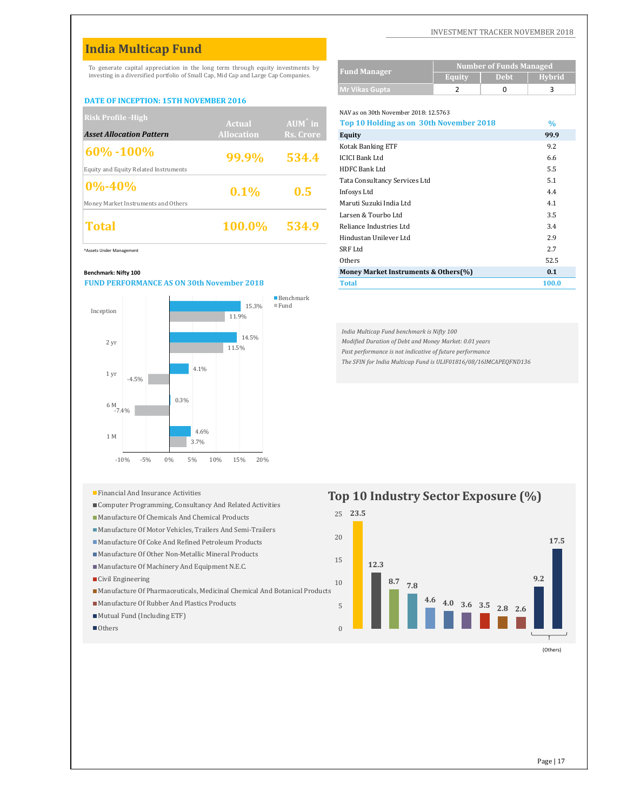## **India Multicap Fund**

To generate capital appreciation in the long term through equity investments by investing in a diversified portfolio of Small Cap, Mid Cap and Large Cap Companies.

#### **DATE OF INCEPTION: 15TH NOVEMBER 2016**

| <b>Risk Profile - High</b>            |                   |                   | NAV as on 30th November 2018: 12.5763   |      |
|---------------------------------------|-------------------|-------------------|-----------------------------------------|------|
|                                       | <b>Actual</b>     | $AUM^{\hat{}}$ in | Top 10 Holding as on 30th November 2018 | $\%$ |
| <b>Asset Allocation Pattern</b>       | <b>Allocation</b> | Rs. Crore         | Equity                                  | 99.9 |
| $\frac{160\% - 100\%}{100\%}$         |                   |                   | <b>Kotak Banking ETF</b>                | 9.2  |
|                                       | 99.9%             | 534.4             | <b>ICICI Bank Ltd</b>                   | 6.6  |
| Equity and Equity Related Instruments |                   |                   | HDFC Bank Ltd                           | 5.5  |
| $0\% - 40\%$                          |                   |                   | Tata Consultancy Services Ltd           | 5.1  |
|                                       | $0.1\%$           | 0.5               | Infosys Ltd                             | 4.4  |
| Money Market Instruments and Others   |                   |                   | Maruti Suzuki India Ltd                 | 4.1  |
|                                       |                   |                   | Larsen & Tourbo Ltd                     | 3.5  |
| Total                                 | <b>100.0%</b>     | 534.9             | Reliance Industries Ltd                 | 3.4  |
|                                       |                   |                   | Uinducton Unilovor Ltd.                 | 20   |

#### **Benchmark: Nifty 100**

#### **FUND PERFORMANCE AS ON 30th November 2018**



- 
- Computer Programming, Consultancy And Related Activities
- Manufacture Of Chemicals And Chemical Products
- Manufacture Of Motor Vehicles, Trailers And Semi-Trailers
- Manufacture Of Coke And Refined Petroleum Products
- Manufacture Of Other Non-Metallic Mineral Products
- Manufacture Of Machinery And Equipment N.E.C.
- Civil Engineering
- Manufacture Of Pharmaceuticals, Medicinal Chemical And Botanical Products
- Manufacture Of Rubber And Plastics Products
- Mutual Fund (Including ETF)
- Others

INVESTMENT TRACKER NOVEMBER 2018

| <b>Fund Manager</b> | <b>Number of Funds Managed</b> |             |        |  |  |
|---------------------|--------------------------------|-------------|--------|--|--|
|                     | <b>Equity</b>                  | <b>Debt</b> | Hvbrid |  |  |
| Mr Vikas Gupta      |                                |             |        |  |  |

NAV as on 30th November 2018: 12.5763

| KISK Profile -High                               | Actual            | $AUM^{\wedge}$ in | Top 10 Holding as on 30th November 2018 | $\frac{0}{0}$ |
|--------------------------------------------------|-------------------|-------------------|-----------------------------------------|---------------|
| <b>Asset Allocation Pattern</b>                  | <b>Allocation</b> | Rs. Crore         | <b>Equity</b>                           | 99.9          |
| $60\% - 100\%$                                   |                   |                   | <b>Kotak Banking ETF</b>                | 9.2           |
|                                                  | 99.9%             | 534.4             | <b>ICICI Bank Ltd</b>                   | 6.6           |
| Equity and Equity Related Instruments            |                   |                   | <b>HDFC Bank Ltd</b>                    | 5.5           |
| $0\% - 40\%$                                     |                   |                   | Tata Consultancy Services Ltd           | 5.1           |
|                                                  | 0.1%              | 0.5               | Infosys Ltd                             | 4.4           |
| Money Market Instruments and Others              |                   |                   | Maruti Suzuki India Ltd                 | 4.1           |
|                                                  |                   |                   | Larsen & Tourbo Ltd                     | 3.5           |
| <b>Total</b>                                     | 100.0%            | 534.9             | Reliance Industries Ltd                 | 3.4           |
|                                                  |                   |                   | Hindustan Unilever Ltd                  | 2.9           |
| ^Assets Under Management                         |                   |                   | <b>SRF Ltd</b>                          | 2.7           |
|                                                  |                   |                   | Others                                  | 52.5          |
| Benchmark: Nifty 100                             |                   |                   | Money Market Instruments & Others(%)    | 0.1           |
| <b>FUND PERFORMANCE AS ON 30th November 2018</b> |                   |                   | Total                                   | 100.0         |
|                                                  |                   |                   |                                         |               |

*India Multicap Fund benchmark is Nifty 100*

*Modified Duration of Debt and Money Market: 0.01 years*

*Past performance is not indicative of future performance The SFIN for India Multicap Fund is ULIF01816/08/16IMCAPEQFND136*

## **Top 10 Industry Sector Exposure**  $(\%)$



(Others)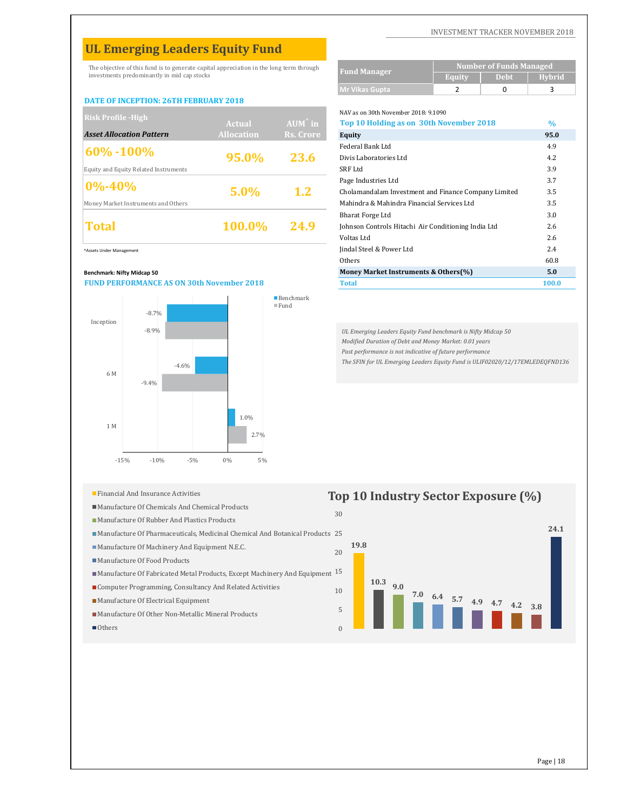## **UL Emerging Leaders Equity Fund**

The objective of this fund is to generate capital appreciation in the long term through investments predominantly in mid cap stocks

#### **DATE OF INCEPTION: 26TH FEBRUARY 2018**

| <b>Risk Profile - High</b>            |                   |                   | NAV as on 30th November 2018: 9.1090                 |      |
|---------------------------------------|-------------------|-------------------|------------------------------------------------------|------|
|                                       | Actual            | $AUM^{\hat{}}$ in | Top 10 Holding as on 30th November 2018              | $\%$ |
| <b>Asset Allocation Pattern</b>       | <b>Allocation</b> | Rs. Crore         | Equity                                               | 95.0 |
| $ 60\% - 100\% $                      |                   |                   | Federal Bank Ltd                                     | 4.9  |
|                                       | 95.0%             | 23.6              | Divis Laboratories Ltd                               | 4.2  |
| Equity and Equity Related Instruments |                   |                   | SRF Ltd                                              | 3.9  |
| $ 0\% - 40\% $                        |                   |                   | Page Industries Ltd                                  | 3.7  |
|                                       | $5.0\%$           | 1.2               | Cholamandalam Investment and Finance Company Limited | 3.5  |
| Money Market Instruments and Others   |                   |                   | Mahindra & Mahindra Financial Services Ltd           | 3.5  |
|                                       |                   |                   | <b>Bharat Forge Ltd</b>                              | 3.0  |
| Total                                 | 100.0%            | 24.9              | Johnson Controls Hitachi Air Conditioning India Ltd  | 2.6  |
|                                       |                   |                   | $U_0$ ltaa Ltd.                                      | 2c   |

#### **Benchmark: Nifty Midcap 50**

#### **FUND PERFORMANCE AS ON 30th November 2018**



| <b>Fund Manager</b>   | Number of Funds Managed |             |        |  |  |
|-----------------------|-------------------------|-------------|--------|--|--|
|                       | Equity                  | <b>Debt</b> | Hvbrid |  |  |
| <b>Mr Vikas Gupta</b> |                         |             |        |  |  |

NAV as on 30th November 2018: 9.1090

| $\sim$                                           | <b>Actual</b>     | <b>AUM</b> in | Top 10 Holding as on 30th November 2018              | $\frac{0}{0}$ |
|--------------------------------------------------|-------------------|---------------|------------------------------------------------------|---------------|
| <b>Asset Allocation Pattern</b>                  | <b>Allocation</b> | Rs. Crore     | Equity                                               | 95.0          |
| 60% -100%                                        |                   |               | Federal Bank Ltd                                     | 4.9           |
|                                                  | 95.0%             | 23.6          | Divis Laboratories Ltd                               | 4.2           |
| <b>Equity and Equity Related Instruments</b>     |                   |               | SRF Ltd                                              | 3.9           |
| $0\% - 40\%$                                     |                   |               | Page Industries Ltd                                  | 3.7           |
|                                                  | $5.0\%$           | 1.2           | Cholamandalam Investment and Finance Company Limited | 3.5           |
| Money Market Instruments and Others              |                   |               | Mahindra & Mahindra Financial Services Ltd           | 3.5           |
|                                                  |                   |               | <b>Bharat Forge Ltd</b>                              | 3.0           |
| <b>Total</b>                                     | 100.0%            | 24.9          | Johnson Controls Hitachi Air Conditioning India Ltd  | 2.6           |
|                                                  |                   |               | Voltas Ltd                                           | 2.6           |
| Assets Under Management                          |                   |               | Jindal Steel & Power Ltd                             | 2.4           |
|                                                  |                   |               | Others                                               | 60.8          |
| Benchmark: Nifty Midcap 50                       |                   |               | Money Market Instruments & Others(%)                 | 5.0           |
| <b>FUND PERFORMANCE AS ON 30th November 2018</b> |                   |               | <b>Total</b>                                         | 100.0         |

*UL Emerging Leaders Equity Fund benchmark is Nifty Midcap 50 Modified Duration of Debt and Money Market: 0.01 years Past performance is not indicative of future performance The SFIN for UL Emerging Leaders Equity Fund is ULIF02020/12/17EMLEDEQFND136*

- 
- Manufacture Of Chemicals And Chemical Products
- Manufacture Of Rubber And Plastics Products
- Manufacture Of Pharmaceuticals, Medicinal Chemical And Botanical Products 25
- Manufacture Of Machinery And Equipment N.E.C.
- Manufacture Of Food Products
- Manufacture Of Fabricated Metal Products, Except Machinery And Equipment  $^{\rm 15}$
- Computer Programming, Consultancy And Related Activities
- Manufacture Of Electrical Equipment
- Manufacture Of Other Non-Metallic Mineral Products
- Others

## **Top 10 Industry Sector Exposure**  $(\%)$

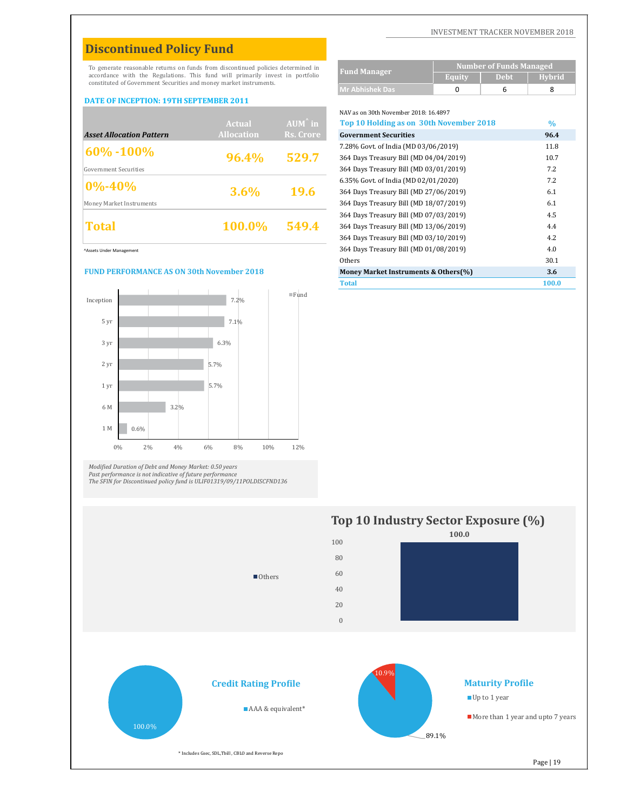## **Discontinued Policy Fund**

To generate reasonable returns on funds from discontinued policies determined in accordance with the Regulations. This fund will primarily invest in portfolio constituted of Government Securities and money market instruments.

#### **DATE OF INCEPTION: 19TH SEPTEMBER 2011**

|                                 |                   |                   | $117.4V$ as 011 JULII INUVELILUEL 2010. 10.4027 |               |
|---------------------------------|-------------------|-------------------|-------------------------------------------------|---------------|
|                                 | Actual            | $AUM^{\hat{}}$ in | Top 10 Holding as on 30th November 2018         | $\frac{0}{0}$ |
| <b>Asset Allocation Pattern</b> | <b>Allocation</b> | Rs. Crore         | <b>Government Securities</b>                    | 96.4          |
| $ 60\% - 100\% $                |                   |                   | 7.28% Govt. of India (MD 03/06/2019)            | 11.8          |
|                                 | 96.4%             | 529.7             | 364 Days Treasury Bill (MD 04/04/2019)          | 10.7          |
| Government Securities           |                   |                   | 364 Days Treasury Bill (MD 03/01/2019)          | 7.2           |
| $ 0\% - 40\% $                  |                   |                   | 6.35% Govt. of India (MD 02/01/2020)            | 7.2           |
|                                 | $3.6\%$           | <b>19.6</b>       | 364 Days Treasury Bill (MD 27/06/2019)          | 6.1           |
| Money Market Instruments        |                   |                   | 364 Days Treasury Bill (MD 18/07/2019)          | 6.1           |
|                                 |                   |                   | 364 Days Treasury Bill (MD 07/03/2019)          | 4.5           |
| Total                           | 100.0%            | 549.4             | 364 Days Treasury Bill (MD 13/06/2019)          | 4.4           |
|                                 |                   |                   | 264 Dave Treeswy Bill (MD 02/10/2010)           | $\sqrt{2}$    |

^Assets Under Management

#### **FUND PERFORMANCE AS ON 30th November 2018**



Modified Duration of Debt and Money Market: 0.50 years<br>Past performance is not indicative of future performance<br>The SFIN for Discontinued policy fund is ULIF01319/09/11P0LDISCFND136

| nce is not indicative of future performance<br>iscontinued policy fund is ULIF01319/09/11POLDISCFND136 |                                                                                                               |
|--------------------------------------------------------------------------------------------------------|---------------------------------------------------------------------------------------------------------------|
| $\blacksquare$ Others                                                                                  | Top 10 Industry Sector Exposure (%)<br>100.0<br>100<br>80<br>60<br>40<br>20<br>$\mathbf{0}$                   |
| <b>Credit Rating Profile</b><br>AAA & equivalent*<br>100.0%                                            | 10.9%<br><b>Maturity Profile</b><br>$\blacksquare$ Up to 1 year<br>More than 1 year and upto 7 years<br>89.1% |

INVESTMENT TRACKER NOVEMBER 2018

|                                         | <b>Number of Funds Managed</b> |             |               |  |
|-----------------------------------------|--------------------------------|-------------|---------------|--|
| <b>Fund Manager</b>                     | <b>Equity</b>                  | <b>Debt</b> | <b>Hybrid</b> |  |
| <b>Mr Abhishek Das</b>                  | 0                              | 6           | 8             |  |
|                                         |                                |             |               |  |
| NAV as on 30th November 2018: 16.4897   |                                |             |               |  |
| Top 10 Holding as on 30th November 2018 |                                |             | $\%$          |  |
| <b>Government Securities</b>            |                                |             | 96.4          |  |
| 7.28% Govt. of India (MD 03/06/2019)    |                                |             | 11.8          |  |
| 364 Days Treasury Bill (MD 04/04/2019)  | 10.7                           |             |               |  |
| 364 Days Treasury Bill (MD 03/01/2019)  | 7.2                            |             |               |  |
| 6.35% Govt. of India (MD 02/01/2020)    | 7.2                            |             |               |  |
| 364 Days Treasury Bill (MD 27/06/2019)  | 6.1                            |             |               |  |
| 364 Days Treasury Bill (MD 18/07/2019)  |                                | 6.1         |               |  |
| 364 Days Treasury Bill (MD 07/03/2019)  |                                | 4.5         |               |  |
| 364 Days Treasury Bill (MD 13/06/2019)  |                                |             | 4.4           |  |
| 364 Days Treasury Bill (MD 03/10/2019)  |                                |             | 4.2           |  |
| 364 Days Treasury Bill (MD 01/08/2019)  |                                |             | 4.0           |  |
| Others                                  |                                |             | 30.1          |  |
| Money Market Instruments & Others(%)    |                                |             | 3.6           |  |

**Money Market Instruments & Others(%) 3.6 Total 100.0**

 $^\ast$  Includes Gsec, SDL,Tbill , CBLO and Reverse Repo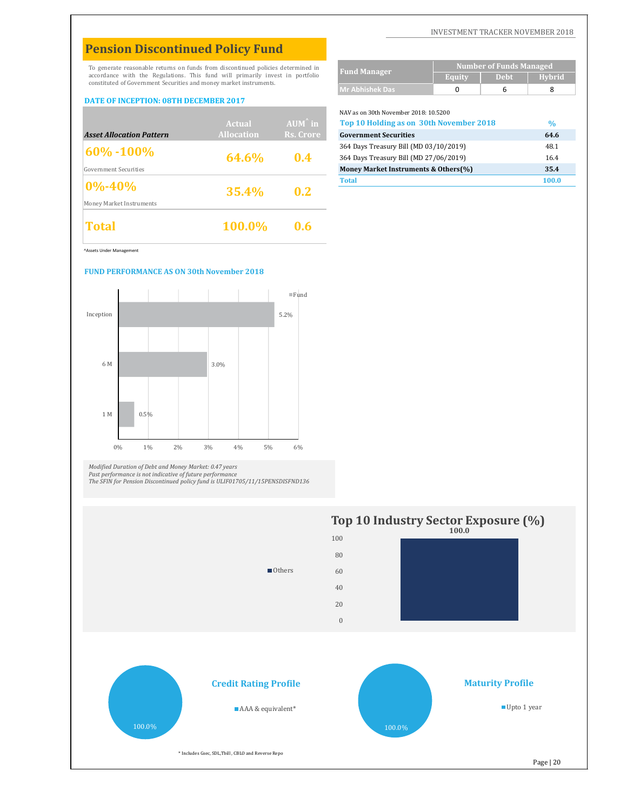## **Pension Discontinued Policy Fund**

To generate reasonable returns on funds from discontinued policies determined in accordance with the Regulations. This fund will primarily invest in portfolio constituted of Government Securities and money market instruments.

#### **DATE OF INCEPTION: 08TH DECEMBER 2017**

| Total                           | 100.0%            | 0.6               |                                                                        |               |
|---------------------------------|-------------------|-------------------|------------------------------------------------------------------------|---------------|
| Money Market Instruments        |                   |                   |                                                                        |               |
| $ 0\% - 40\% $                  | 35.4%             | 0.2               | <b>Total</b>                                                           | 100.          |
| Government Securities           |                   |                   | Money Market Instruments & Others(%)                                   | 35.4          |
| $ 60\% - 100\% $                | <b>64.6%</b>      | 0.4               | 364 Days Treasury Bill (MD 27/06/2019)                                 | 16.4          |
| <b>Asset Allocation Pattern</b> | <b>Allocation</b> | Rs. Crore         | <b>Government Securities</b><br>364 Days Treasury Bill (MD 03/10/2019) | 64.6<br>48.1  |
|                                 | Actual            | $AUM^{\hat{}}$ in | Top 10 Holding as on 30th November 2018                                | $\frac{0}{0}$ |
|                                 |                   |                   | NAV as on 30th November 2018: 10.5200                                  |               |

^Assets Under Management

#### **FUND PERFORMANCE AS ON 30th November 2018**



Modified Duration of Debt and Money Market: 0.47 years<br>Past performance is not indicative of future performance<br>The SFIN for Pension Discontinued policy fund is ULIF01705/11/15PENSDISFND136



INVESTMENT TRACKER NOVEMBER 2018

| <b>Fund Manager</b>    | <b>Number of Funds Managed</b> |             |        |  |
|------------------------|--------------------------------|-------------|--------|--|
|                        | Equity                         | <b>Debt</b> | Hybrid |  |
| <b>Mr Abhishek Das</b> |                                |             |        |  |

NAV as on 30th November 2018: 10.5200

| Top 10 Holding as on 30th November 2018 | $\frac{0}{0}$ |
|-----------------------------------------|---------------|
| <b>Government Securities</b>            | 64.6          |
| 364 Days Treasury Bill (MD 03/10/2019)  | 48.1          |
| 364 Days Treasury Bill (MD 27/06/2019)  | 16.4          |
| Money Market Instruments & Others(%)    | 35.4          |
| <b>Total</b>                            | 100.0         |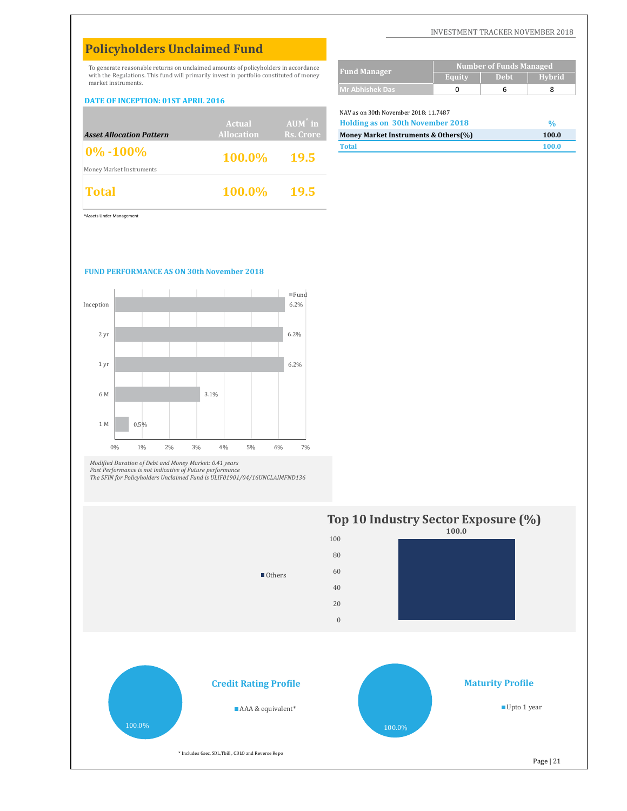## **Policyholders Unclaimed Fund**

To generate reasonable returns on unclaimed amounts of policyholders in accordance with the Regulations. This fund will primarily invest in portfolio constituted of money market instruments.

#### **DATE OF INCEPTION: 01ST APRIL 2016**

|                                 |                   |                   | NAV as on 30th November 2018: 11.7487 |       |
|---------------------------------|-------------------|-------------------|---------------------------------------|-------|
|                                 | Actual            | $AUM^{\hat{}}$ in | Holding as on 30th November 2018      | $\%$  |
| <b>Asset Allocation Pattern</b> | <b>Allocation</b> | Rs. Crore         | Money Market Instruments & Others(%)  | 100.0 |
| $ 0\% - 100\%$                  | 100.0% 19.5       |                   | <b>Total</b>                          | 100.0 |
| Money Market Instruments        |                   |                   |                                       |       |
| Total                           | $100.0\%$ 19.5    |                   |                                       |       |

| <b>Fund Manager</b>    | Number of Funds Managed |             |                |  |
|------------------------|-------------------------|-------------|----------------|--|
|                        | Equity                  | <b>Debt</b> | <b>H</b> vbrid |  |
| <b>Mr Abhishek Das</b> |                         |             |                |  |

#### NAV as on 30th November 2018: 11.7487

| <b>Holding as on 30th November 2018</b> | $\frac{0}{6}$ |
|-----------------------------------------|---------------|
| Money Market Instruments & Others(%)    | 100.0         |
| <b>Total</b>                            | 100.0         |

^Assets Under Management

#### **FUND PERFORMANCE AS ON 30th November 2018**



*Modified Duration of Debt and Money Market: 0.41 years Past Performance is not indicative of Future performance The SFIN for Policyholders Unclaimed Fund is ULIF01901/04/16UNCLAIMFND136*



INVESTMENT TRACKER NOVEMBER 2018